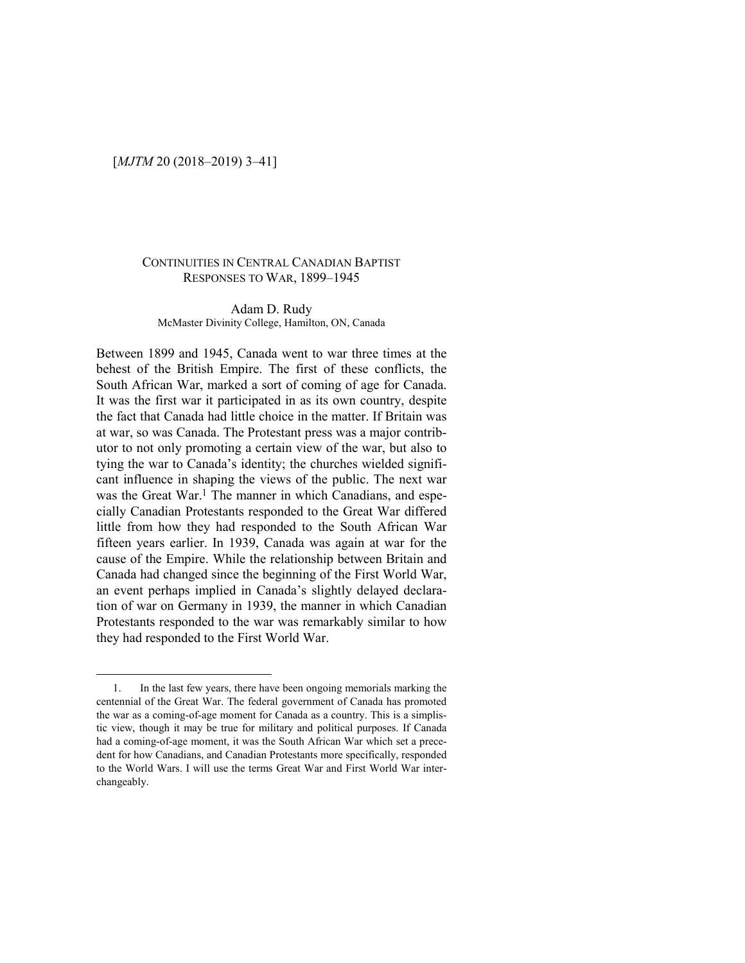## [*MJTM* 20 (2018–2019) 3–41]

#### CONTINUITIES IN CENTRAL CANADIAN BAPTIST RESPONSES TO WAR, 1899–1945

#### Adam D. Rudy McMaster Divinity College, Hamilton, ON, Canada

Between 1899 and 1945, Canada went to war three times at the behest of the British Empire. The first of these conflicts, the South African War, marked a sort of coming of age for Canada. It was the first war it participated in as its own country, despite the fact that Canada had little choice in the matter. If Britain was at war, so was Canada. The Protestant press was a major contributor to not only promoting a certain view of the war, but also to tying the war to Canada's identity; the churches wielded significant influence in shaping the views of the public. The next war was the Great War.<sup>1</sup> The manner in which Canadians, and especially Canadian Protestants responded to the Great War differed little from how they had responded to the South African War fifteen years earlier. In 1939, Canada was again at war for the cause of the Empire. While the relationship between Britain and Canada had changed since the beginning of the First World War, an event perhaps implied in Canada's slightly delayed declaration of war on Germany in 1939, the manner in which Canadian Protestants responded to the war was remarkably similar to how they had responded to the First World War.

<sup>1.</sup> In the last few years, there have been ongoing memorials marking the centennial of the Great War. The federal government of Canada has promoted the war as a coming-of-age moment for Canada as a country. This is a simplistic view, though it may be true for military and political purposes. If Canada had a coming-of-age moment, it was the South African War which set a precedent for how Canadians, and Canadian Protestants more specifically, responded to the World Wars. I will use the terms Great War and First World War interchangeably.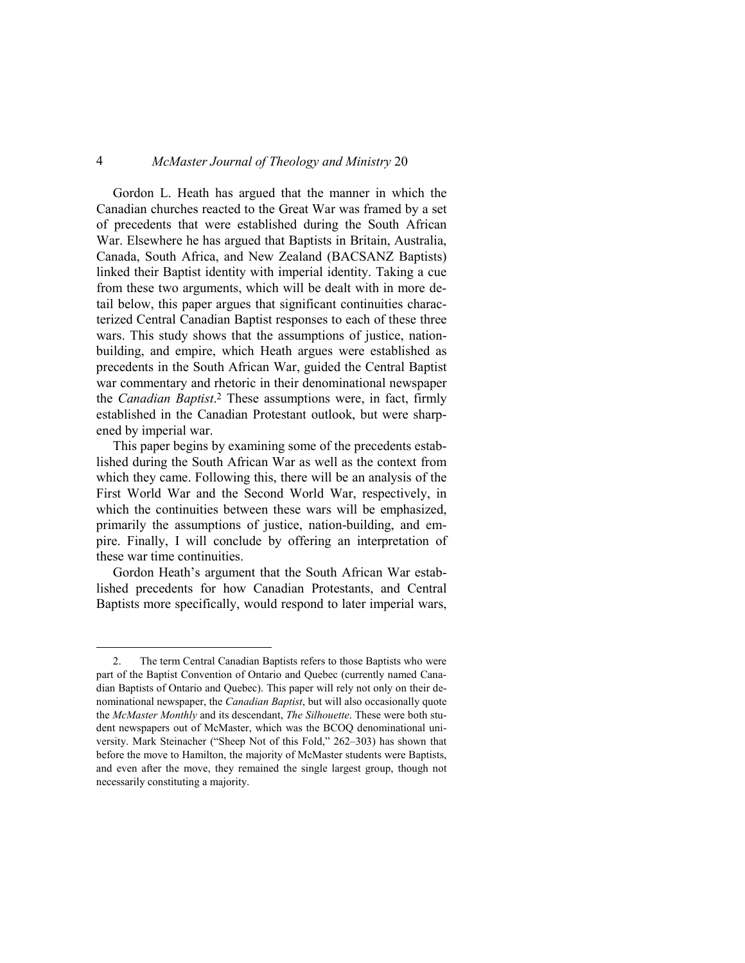Gordon L. Heath has argued that the manner in which the Canadian churches reacted to the Great War was framed by a set of precedents that were established during the South African War. Elsewhere he has argued that Baptists in Britain, Australia, Canada, South Africa, and New Zealand (BACSANZ Baptists) linked their Baptist identity with imperial identity. Taking a cue from these two arguments, which will be dealt with in more detail below, this paper argues that significant continuities characterized Central Canadian Baptist responses to each of these three wars. This study shows that the assumptions of justice, nationbuilding, and empire, which Heath argues were established as precedents in the South African War, guided the Central Baptist war commentary and rhetoric in their denominational newspaper the *Canadian Baptist*. <sup>2</sup> These assumptions were, in fact, firmly established in the Canadian Protestant outlook, but were sharpened by imperial war.

This paper begins by examining some of the precedents established during the South African War as well as the context from which they came. Following this, there will be an analysis of the First World War and the Second World War, respectively, in which the continuities between these wars will be emphasized, primarily the assumptions of justice, nation-building, and empire. Finally, I will conclude by offering an interpretation of these war time continuities.

Gordon Heath's argument that the South African War established precedents for how Canadian Protestants, and Central Baptists more specifically, would respond to later imperial wars,

<sup>2.</sup> The term Central Canadian Baptists refers to those Baptists who were part of the Baptist Convention of Ontario and Quebec (currently named Canadian Baptists of Ontario and Quebec). This paper will rely not only on their denominational newspaper, the *Canadian Baptist*, but will also occasionally quote the *McMaster Monthly* and its descendant, *The Silhouette*. These were both student newspapers out of McMaster, which was the BCOQ denominational university. Mark Steinacher ("Sheep Not of this Fold," 262–303) has shown that before the move to Hamilton, the majority of McMaster students were Baptists, and even after the move, they remained the single largest group, though not necessarily constituting a majority.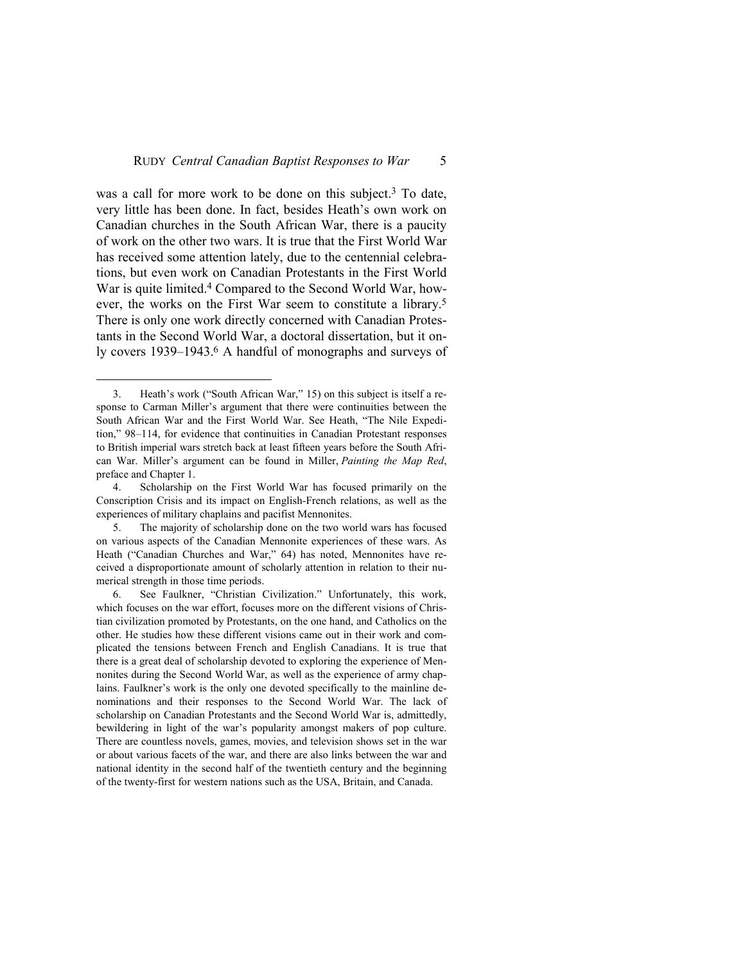was a call for more work to be done on this subject. <sup>3</sup> To date, very little has been done. In fact, besides Heath's own work on Canadian churches in the South African War, there is a paucity of work on the other two wars. It is true that the First World War has received some attention lately, due to the centennial celebrations, but even work on Canadian Protestants in the First World War is quite limited.<sup>4</sup> Compared to the Second World War, however, the works on the First War seem to constitute a library.<sup>5</sup> There is only one work directly concerned with Canadian Protestants in the Second World War, a doctoral dissertation, but it only covers 1939–1943.6 A handful of monographs and surveys of

<sup>3.</sup> Heath's work ("South African War," 15) on this subject is itself a response to Carman Miller's argument that there were continuities between the South African War and the First World War. See Heath, "The Nile Expedition," 98–114, for evidence that continuities in Canadian Protestant responses to British imperial wars stretch back at least fifteen years before the South African War. Miller's argument can be found in Miller, *Painting the Map Red*, preface and Chapter 1.

<sup>4.</sup> Scholarship on the First World War has focused primarily on the Conscription Crisis and its impact on English-French relations, as well as the experiences of military chaplains and pacifist Mennonites.

<sup>5.</sup> The majority of scholarship done on the two world wars has focused on various aspects of the Canadian Mennonite experiences of these wars. As Heath ("Canadian Churches and War," 64) has noted, Mennonites have received a disproportionate amount of scholarly attention in relation to their numerical strength in those time periods.

<sup>6.</sup> See Faulkner, "Christian Civilization." Unfortunately, this work, which focuses on the war effort, focuses more on the different visions of Christian civilization promoted by Protestants, on the one hand, and Catholics on the other. He studies how these different visions came out in their work and complicated the tensions between French and English Canadians. It is true that there is a great deal of scholarship devoted to exploring the experience of Mennonites during the Second World War, as well as the experience of army chaplains. Faulkner's work is the only one devoted specifically to the mainline denominations and their responses to the Second World War. The lack of scholarship on Canadian Protestants and the Second World War is, admittedly, bewildering in light of the war's popularity amongst makers of pop culture. There are countless novels, games, movies, and television shows set in the war or about various facets of the war, and there are also links between the war and national identity in the second half of the twentieth century and the beginning of the twenty-first for western nations such as the USA, Britain, and Canada.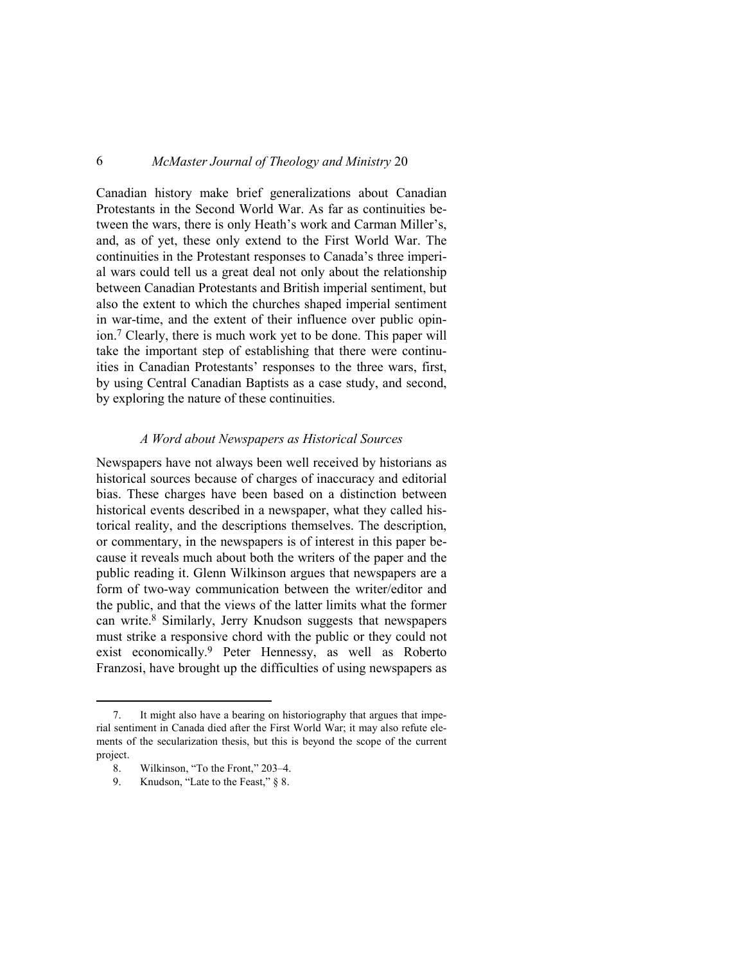Canadian history make brief generalizations about Canadian Protestants in the Second World War. As far as continuities between the wars, there is only Heath's work and Carman Miller's, and, as of yet, these only extend to the First World War. The continuities in the Protestant responses to Canada's three imperial wars could tell us a great deal not only about the relationship between Canadian Protestants and British imperial sentiment, but also the extent to which the churches shaped imperial sentiment in war-time, and the extent of their influence over public opinion.7 Clearly, there is much work yet to be done. This paper will take the important step of establishing that there were continuities in Canadian Protestants' responses to the three wars, first, by using Central Canadian Baptists as a case study, and second, by exploring the nature of these continuities.

#### *A Word about Newspapers as Historical Sources*

Newspapers have not always been well received by historians as historical sources because of charges of inaccuracy and editorial bias. These charges have been based on a distinction between historical events described in a newspaper, what they called historical reality, and the descriptions themselves. The description, or commentary, in the newspapers is of interest in this paper because it reveals much about both the writers of the paper and the public reading it. Glenn Wilkinson argues that newspapers are a form of two-way communication between the writer/editor and the public, and that the views of the latter limits what the former can write.8 Similarly, Jerry Knudson suggests that newspapers must strike a responsive chord with the public or they could not exist economically.9 Peter Hennessy, as well as Roberto Franzosi, have brought up the difficulties of using newspapers as

<sup>7.</sup> It might also have a bearing on historiography that argues that imperial sentiment in Canada died after the First World War; it may also refute elements of the secularization thesis, but this is beyond the scope of the current project.

<sup>8.</sup> Wilkinson, "To the Front," 203–4.<br>9. Knudson, "Late to the Feast," § 8.

Knudson, "Late to the Feast," § 8.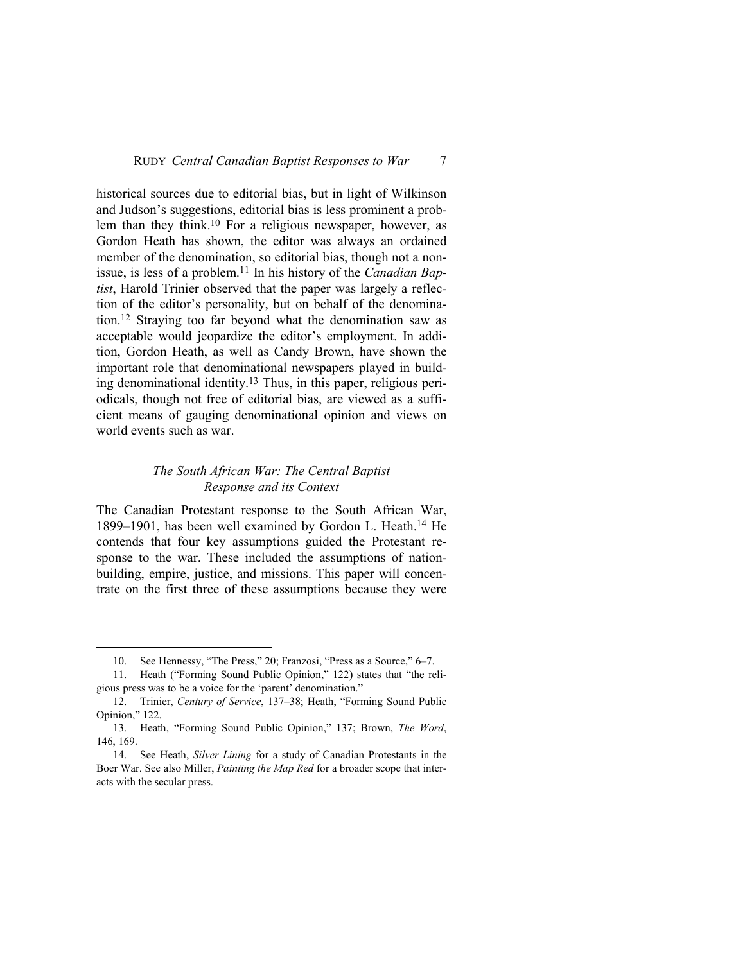historical sources due to editorial bias, but in light of Wilkinson and Judson's suggestions, editorial bias is less prominent a problem than they think.<sup>10</sup> For a religious newspaper, however, as Gordon Heath has shown, the editor was always an ordained member of the denomination, so editorial bias, though not a nonissue, is less of a problem.11 In his history of the *Canadian Baptist*, Harold Trinier observed that the paper was largely a reflection of the editor's personality, but on behalf of the denomination.12 Straying too far beyond what the denomination saw as acceptable would jeopardize the editor's employment. In addition, Gordon Heath, as well as Candy Brown, have shown the important role that denominational newspapers played in building denominational identity.13 Thus, in this paper, religious periodicals, though not free of editorial bias, are viewed as a sufficient means of gauging denominational opinion and views on world events such as war.

## *The South African War: The Central Baptist Response and its Context*

The Canadian Protestant response to the South African War, 1899–1901, has been well examined by Gordon L. Heath.14 He contends that four key assumptions guided the Protestant response to the war. These included the assumptions of nationbuilding, empire, justice, and missions. This paper will concentrate on the first three of these assumptions because they were

<sup>10.</sup> See Hennessy, "The Press," 20; Franzosi, "Press as a Source," 6–7.

<sup>11.</sup> Heath ("Forming Sound Public Opinion," 122) states that "the religious press was to be a voice for the 'parent' denomination."

<sup>12.</sup> Trinier, *Century of Service*, 137–38; Heath, "Forming Sound Public Opinion," 122.

<sup>13.</sup> Heath, "Forming Sound Public Opinion," 137; Brown, *The Word*, 146, 169.

<sup>14.</sup> See Heath, *Silver Lining* for a study of Canadian Protestants in the Boer War. See also Miller, *Painting the Map Red* for a broader scope that interacts with the secular press.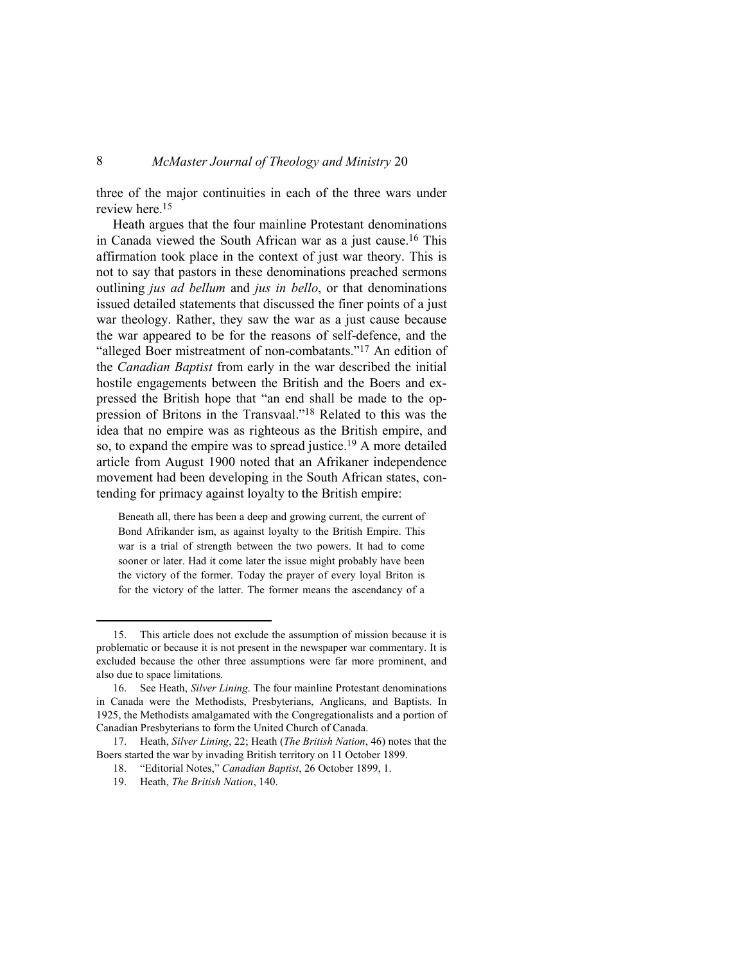three of the major continuities in each of the three wars under review here.<sup>15</sup>

Heath argues that the four mainline Protestant denominations in Canada viewed the South African war as a just cause.16 This affirmation took place in the context of just war theory. This is not to say that pastors in these denominations preached sermons outlining *jus ad bellum* and *jus in bello*, or that denominations issued detailed statements that discussed the finer points of a just war theology. Rather, they saw the war as a just cause because the war appeared to be for the reasons of self-defence, and the "alleged Boer mistreatment of non-combatants."<sup>17</sup> An edition of the *Canadian Baptist* from early in the war described the initial hostile engagements between the British and the Boers and expressed the British hope that "an end shall be made to the oppression of Britons in the Transvaal."18 Related to this was the idea that no empire was as righteous as the British empire, and so, to expand the empire was to spread justice.19 A more detailed article from August 1900 noted that an Afrikaner independence movement had been developing in the South African states, contending for primacy against loyalty to the British empire:

Beneath all, there has been a deep and growing current, the current of Bond Afrikander ism, as against loyalty to the British Empire. This war is a trial of strength between the two powers. It had to come sooner or later. Had it come later the issue might probably have been the victory of the former. Today the prayer of every loyal Briton is for the victory of the latter. The former means the ascendancy of a

<sup>15.</sup> This article does not exclude the assumption of mission because it is problematic or because it is not present in the newspaper war commentary. It is excluded because the other three assumptions were far more prominent, and also due to space limitations.

<sup>16.</sup> See Heath, *Silver Lining*. The four mainline Protestant denominations in Canada were the Methodists, Presbyterians, Anglicans, and Baptists. In 1925, the Methodists amalgamated with the Congregationalists and a portion of Canadian Presbyterians to form the United Church of Canada.

<sup>17.</sup> Heath, *Silver Lining*, 22; Heath (*The British Nation*, 46) notes that the Boers started the war by invading British territory on 11 October 1899.

<sup>18. &</sup>quot;Editorial Notes," *Canadian Baptist*, 26 October 1899, 1.

<sup>19.</sup> Heath, *The British Nation*, 140.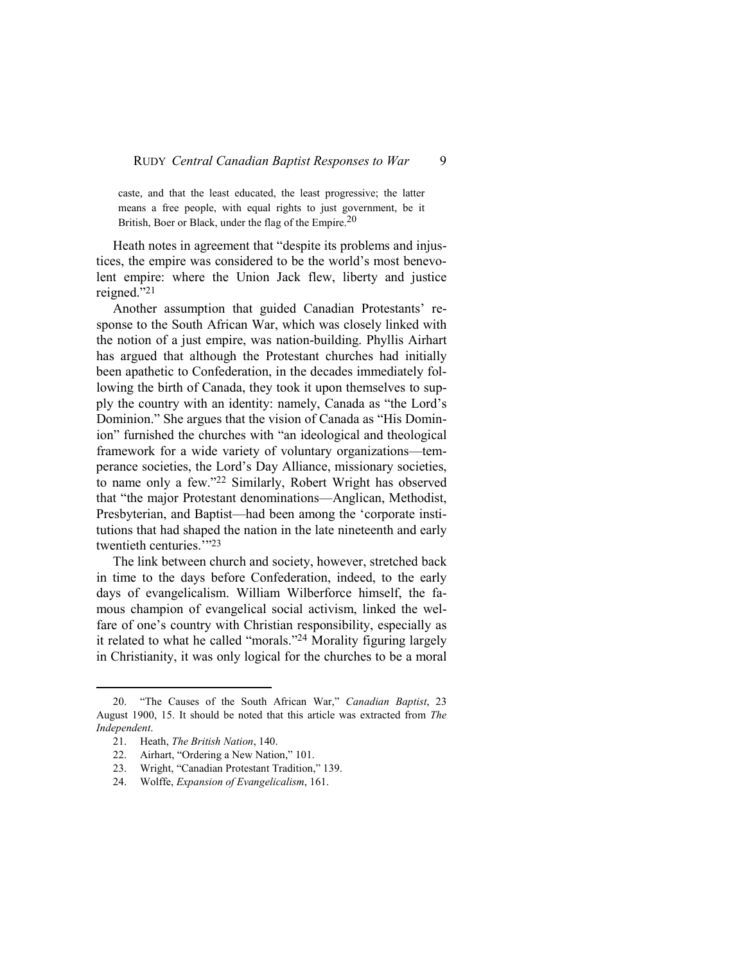caste, and that the least educated, the least progressive; the latter means a free people, with equal rights to just government, be it British, Boer or Black, under the flag of the Empire.<sup>20</sup>

Heath notes in agreement that "despite its problems and injustices, the empire was considered to be the world's most benevolent empire: where the Union Jack flew, liberty and justice reigned."<sup>21</sup>

Another assumption that guided Canadian Protestants' response to the South African War, which was closely linked with the notion of a just empire, was nation-building. Phyllis Airhart has argued that although the Protestant churches had initially been apathetic to Confederation, in the decades immediately following the birth of Canada, they took it upon themselves to supply the country with an identity: namely, Canada as "the Lord's Dominion." She argues that the vision of Canada as "His Dominion" furnished the churches with "an ideological and theological framework for a wide variety of voluntary organizations—temperance societies, the Lord's Day Alliance, missionary societies, to name only a few."22 Similarly, Robert Wright has observed that "the major Protestant denominations––Anglican, Methodist, Presbyterian, and Baptist—had been among the 'corporate institutions that had shaped the nation in the late nineteenth and early twentieth centuries.""23

The link between church and society, however, stretched back in time to the days before Confederation, indeed, to the early days of evangelicalism. William Wilberforce himself, the famous champion of evangelical social activism, linked the welfare of one's country with Christian responsibility, especially as it related to what he called "morals."24 Morality figuring largely in Christianity, it was only logical for the churches to be a moral

 $\overline{a}$ 

24. Wolffe, *Expansion of Evangelicalism*, 161.

<sup>20. &</sup>quot;The Causes of the South African War," *Canadian Baptist*, 23 August 1900, 15. It should be noted that this article was extracted from *The Independent*.

<sup>21.</sup> Heath, *The British Nation*, 140.

<sup>22.</sup> Airhart, "Ordering a New Nation," 101.

<sup>23.</sup> Wright, "Canadian Protestant Tradition," 139.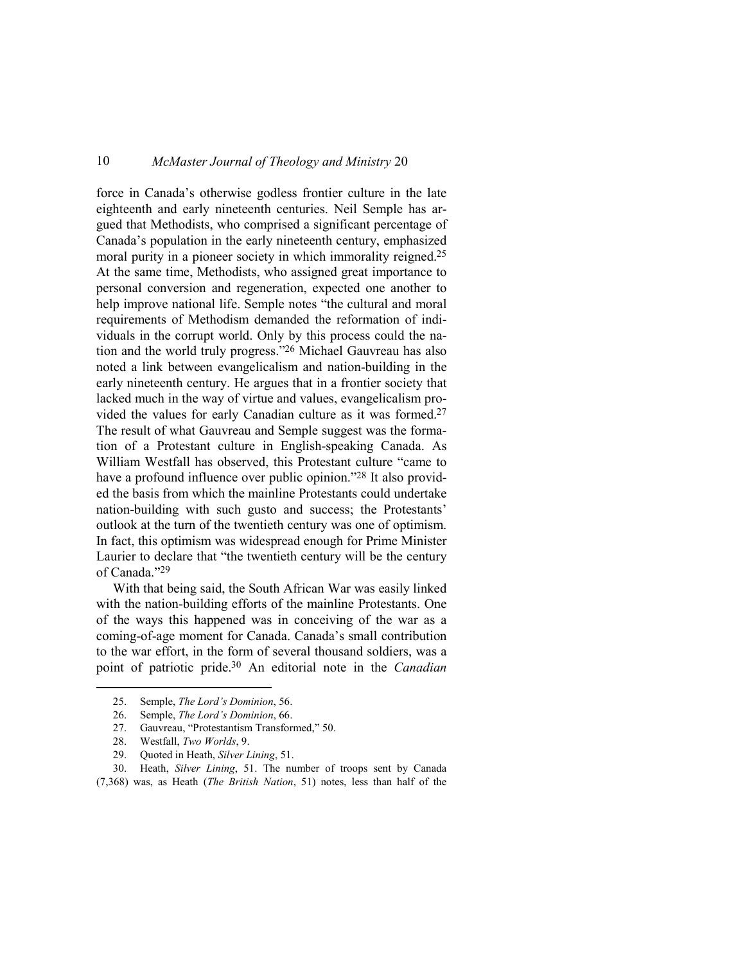force in Canada's otherwise godless frontier culture in the late eighteenth and early nineteenth centuries. Neil Semple has argued that Methodists, who comprised a significant percentage of Canada's population in the early nineteenth century, emphasized moral purity in a pioneer society in which immorality reigned.<sup>25</sup> At the same time, Methodists, who assigned great importance to personal conversion and regeneration, expected one another to help improve national life. Semple notes "the cultural and moral requirements of Methodism demanded the reformation of individuals in the corrupt world. Only by this process could the nation and the world truly progress."26 Michael Gauvreau has also noted a link between evangelicalism and nation-building in the early nineteenth century. He argues that in a frontier society that lacked much in the way of virtue and values, evangelicalism provided the values for early Canadian culture as it was formed.<sup>27</sup> The result of what Gauvreau and Semple suggest was the formation of a Protestant culture in English-speaking Canada. As William Westfall has observed, this Protestant culture "came to have a profound influence over public opinion."<sup>28</sup> It also provided the basis from which the mainline Protestants could undertake nation-building with such gusto and success; the Protestants' outlook at the turn of the twentieth century was one of optimism. In fact, this optimism was widespread enough for Prime Minister Laurier to declare that "the twentieth century will be the century of Canada."<sup>29</sup>

With that being said, the South African War was easily linked with the nation-building efforts of the mainline Protestants. One of the ways this happened was in conceiving of the war as a coming-of-age moment for Canada. Canada's small contribution to the war effort, in the form of several thousand soldiers, was a point of patriotic pride.30 An editorial note in the *Canadian* 

 $\overline{a}$ 

30. Heath, *Silver Lining*, 51. The number of troops sent by Canada (7,368) was, as Heath (*The British Nation*, 51) notes, less than half of the

<sup>25.</sup> Semple, *The Lord's Dominion*, 56.

<sup>26.</sup> Semple, *The Lord's Dominion*, 66.

<sup>27.</sup> Gauvreau, "Protestantism Transformed," 50.

<sup>28.</sup> Westfall, *Two Worlds*, 9.

<sup>29.</sup> Quoted in Heath, *Silver Lining*, 51.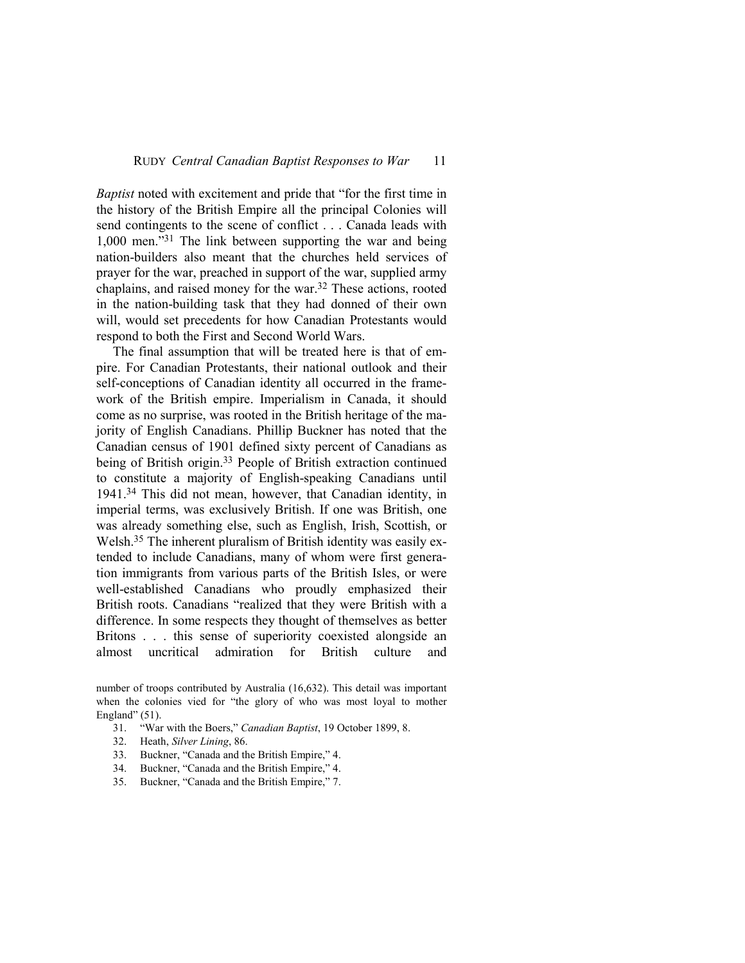*Baptist* noted with excitement and pride that "for the first time in the history of the British Empire all the principal Colonies will send contingents to the scene of conflict . . . Canada leads with 1,000 men."31 The link between supporting the war and being nation-builders also meant that the churches held services of prayer for the war, preached in support of the war, supplied army chaplains, and raised money for the war.32 These actions, rooted in the nation-building task that they had donned of their own will, would set precedents for how Canadian Protestants would respond to both the First and Second World Wars.

The final assumption that will be treated here is that of empire. For Canadian Protestants, their national outlook and their self-conceptions of Canadian identity all occurred in the framework of the British empire. Imperialism in Canada, it should come as no surprise, was rooted in the British heritage of the majority of English Canadians. Phillip Buckner has noted that the Canadian census of 1901 defined sixty percent of Canadians as being of British origin.<sup>33</sup> People of British extraction continued to constitute a majority of English-speaking Canadians until 1941.34 This did not mean, however, that Canadian identity, in imperial terms, was exclusively British. If one was British, one was already something else, such as English, Irish, Scottish, or Welsh.35 The inherent pluralism of British identity was easily extended to include Canadians, many of whom were first generation immigrants from various parts of the British Isles, or were well-established Canadians who proudly emphasized their British roots. Canadians "realized that they were British with a difference. In some respects they thought of themselves as better Britons . . . this sense of superiority coexisted alongside an almost uncritical admiration for British culture and

number of troops contributed by Australia (16,632). This detail was important when the colonies vied for "the glory of who was most loyal to mother England"  $(51)$ .

- 31. "War with the Boers," *Canadian Baptist*, 19 October 1899, 8.
- 32. Heath, *Silver Lining*, 86.
- 33. Buckner, "Canada and the British Empire," 4.
- 34. Buckner, "Canada and the British Empire," 4.
- 35. Buckner, "Canada and the British Empire," 7.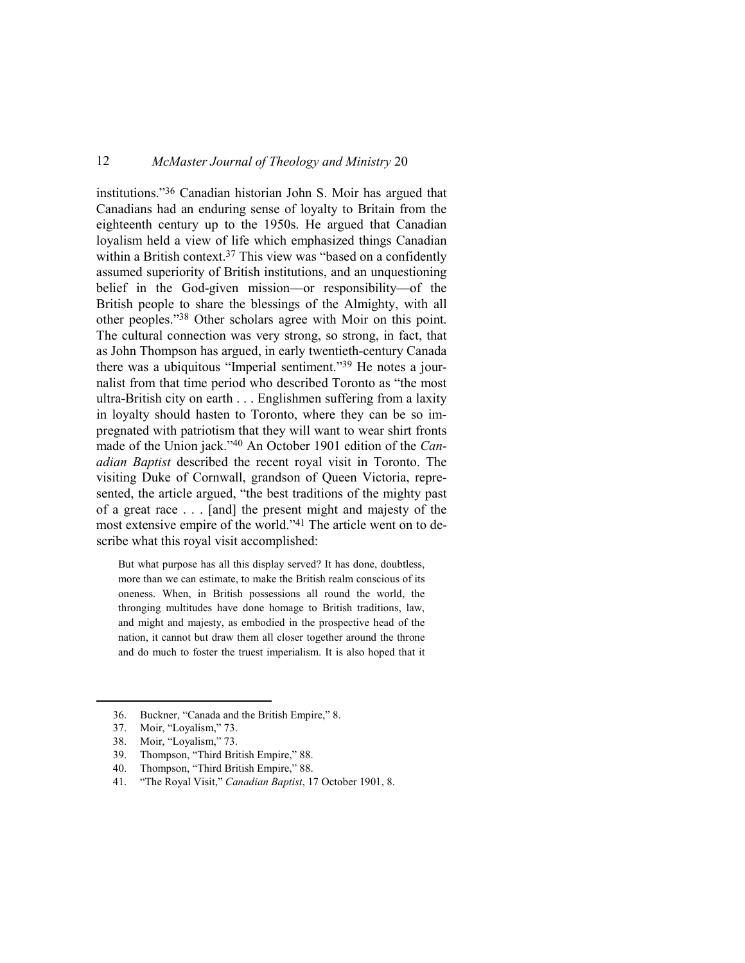institutions."36 Canadian historian John S. Moir has argued that Canadians had an enduring sense of loyalty to Britain from the eighteenth century up to the 1950s. He argued that Canadian loyalism held a view of life which emphasized things Canadian within a British context.<sup>37</sup> This view was "based on a confidently assumed superiority of British institutions, and an unquestioning belief in the God-given mission––or responsibility––of the British people to share the blessings of the Almighty, with all other peoples."38 Other scholars agree with Moir on this point. The cultural connection was very strong, so strong, in fact, that as John Thompson has argued, in early twentieth-century Canada there was a ubiquitous "Imperial sentiment."39 He notes a journalist from that time period who described Toronto as "the most ultra-British city on earth . . . Englishmen suffering from a laxity in loyalty should hasten to Toronto, where they can be so impregnated with patriotism that they will want to wear shirt fronts made of the Union jack."40 An October 1901 edition of the *Canadian Baptist* described the recent royal visit in Toronto. The visiting Duke of Cornwall, grandson of Queen Victoria, represented, the article argued, "the best traditions of the mighty past of a great race . . . [and] the present might and majesty of the most extensive empire of the world."41 The article went on to describe what this royal visit accomplished:

But what purpose has all this display served? It has done, doubtless, more than we can estimate, to make the British realm conscious of its oneness. When, in British possessions all round the world, the thronging multitudes have done homage to British traditions, law, and might and majesty, as embodied in the prospective head of the nation, it cannot but draw them all closer together around the throne and do much to foster the truest imperialism. It is also hoped that it

<sup>36.</sup> Buckner, "Canada and the British Empire," 8.

<sup>37.</sup> Moir, "Loyalism," 73.

<sup>38.</sup> Moir, "Loyalism," 73.

<sup>39.</sup> Thompson, "Third British Empire," 88.

<sup>40.</sup> Thompson, "Third British Empire," 88.

<sup>41. &</sup>quot;The Royal Visit," *Canadian Baptist*, 17 October 1901, 8.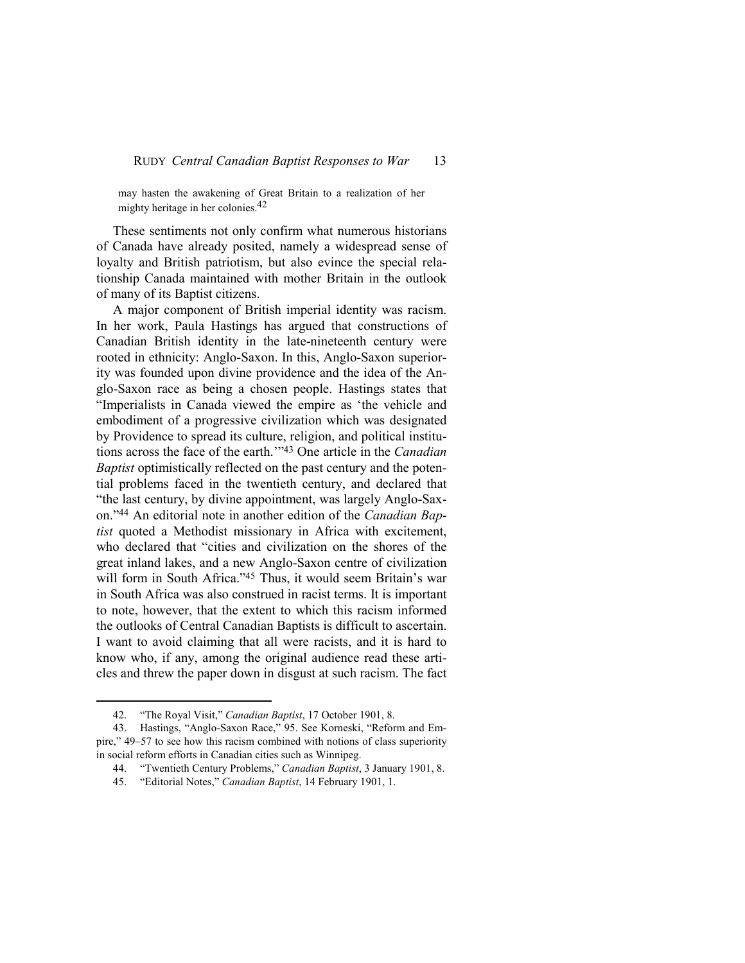may hasten the awakening of Great Britain to a realization of her mighty heritage in her colonies.42

These sentiments not only confirm what numerous historians of Canada have already posited, namely a widespread sense of loyalty and British patriotism, but also evince the special relationship Canada maintained with mother Britain in the outlook of many of its Baptist citizens.

A major component of British imperial identity was racism. In her work, Paula Hastings has argued that constructions of Canadian British identity in the late-nineteenth century were rooted in ethnicity: Anglo-Saxon. In this, Anglo-Saxon superiority was founded upon divine providence and the idea of the Anglo-Saxon race as being a chosen people. Hastings states that "Imperialists in Canada viewed the empire as 'the vehicle and embodiment of a progressive civilization which was designated by Providence to spread its culture, religion, and political institutions across the face of the earth.'"43 One article in the *Canadian Baptist* optimistically reflected on the past century and the potential problems faced in the twentieth century, and declared that "the last century, by divine appointment, was largely Anglo-Saxon."44 An editorial note in another edition of the *Canadian Baptist* quoted a Methodist missionary in Africa with excitement, who declared that "cities and civilization on the shores of the great inland lakes, and a new Anglo-Saxon centre of civilization will form in South Africa."<sup>45</sup> Thus, it would seem Britain's war in South Africa was also construed in racist terms. It is important to note, however, that the extent to which this racism informed the outlooks of Central Canadian Baptists is difficult to ascertain. I want to avoid claiming that all were racists, and it is hard to know who, if any, among the original audience read these articles and threw the paper down in disgust at such racism. The fact

<sup>42. &</sup>quot;The Royal Visit," *Canadian Baptist*, 17 October 1901, 8.

<sup>43.</sup> Hastings, "Anglo-Saxon Race," 95. See Korneski, "Reform and Empire," 49–57 to see how this racism combined with notions of class superiority in social reform efforts in Canadian cities such as Winnipeg.

<sup>44. &</sup>quot;Twentieth Century Problems," *Canadian Baptist*, 3 January 1901, 8.

<sup>45. &</sup>quot;Editorial Notes," *Canadian Baptist*, 14 February 1901, 1.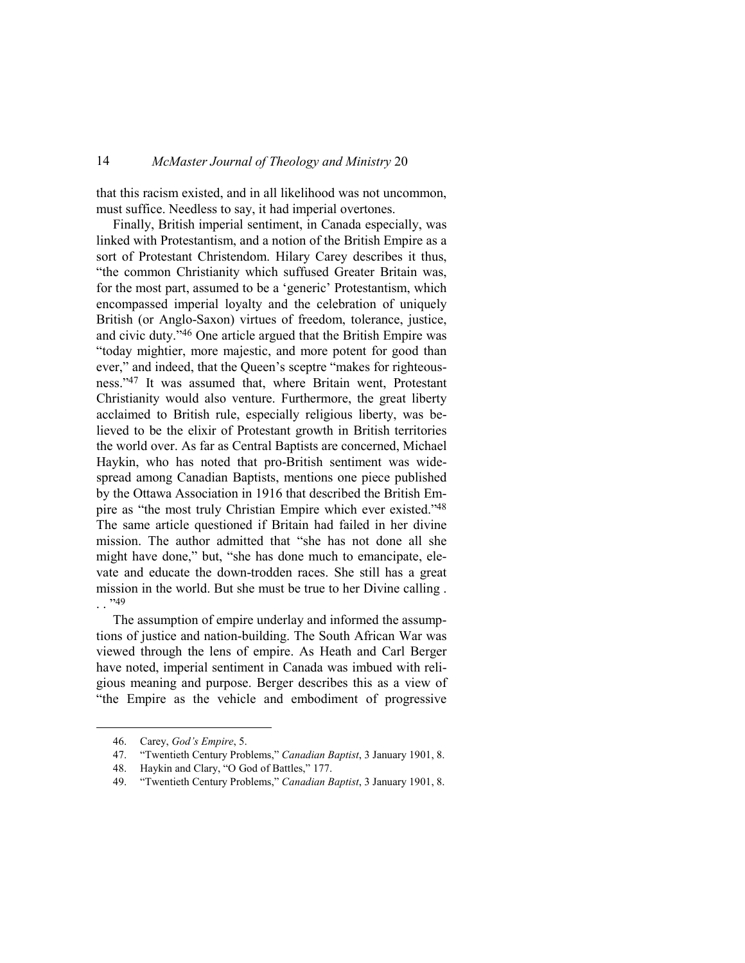that this racism existed, and in all likelihood was not uncommon, must suffice. Needless to say, it had imperial overtones.

Finally, British imperial sentiment, in Canada especially, was linked with Protestantism, and a notion of the British Empire as a sort of Protestant Christendom. Hilary Carey describes it thus, "the common Christianity which suffused Greater Britain was, for the most part, assumed to be a 'generic' Protestantism, which encompassed imperial loyalty and the celebration of uniquely British (or Anglo-Saxon) virtues of freedom, tolerance, justice, and civic duty."46 One article argued that the British Empire was "today mightier, more majestic, and more potent for good than ever," and indeed, that the Queen's sceptre "makes for righteousness."47 It was assumed that, where Britain went, Protestant Christianity would also venture. Furthermore, the great liberty acclaimed to British rule, especially religious liberty, was believed to be the elixir of Protestant growth in British territories the world over. As far as Central Baptists are concerned, Michael Haykin, who has noted that pro-British sentiment was widespread among Canadian Baptists, mentions one piece published by the Ottawa Association in 1916 that described the British Empire as "the most truly Christian Empire which ever existed."<sup>48</sup> The same article questioned if Britain had failed in her divine mission. The author admitted that "she has not done all she might have done," but, "she has done much to emancipate, elevate and educate the down-trodden races. She still has a great mission in the world. But she must be true to her Divine calling .  $\cdot$  . . . 49

The assumption of empire underlay and informed the assumptions of justice and nation-building. The South African War was viewed through the lens of empire. As Heath and Carl Berger have noted, imperial sentiment in Canada was imbued with religious meaning and purpose. Berger describes this as a view of "the Empire as the vehicle and embodiment of progressive

<sup>46.</sup> Carey, *God's Empire*, 5.

<sup>47. &</sup>quot;Twentieth Century Problems," *Canadian Baptist*, 3 January 1901, 8.

<sup>48.</sup> Haykin and Clary, "O God of Battles," 177.

<sup>49. &</sup>quot;Twentieth Century Problems," *Canadian Baptist*, 3 January 1901, 8.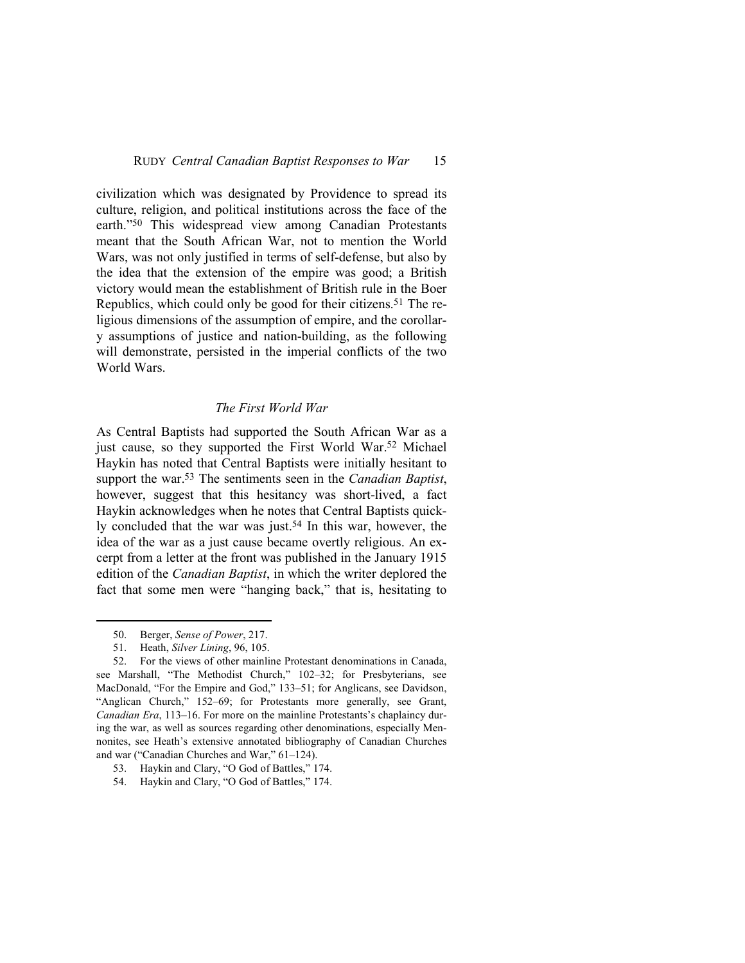civilization which was designated by Providence to spread its culture, religion, and political institutions across the face of the earth."50 This widespread view among Canadian Protestants meant that the South African War, not to mention the World Wars, was not only justified in terms of self-defense, but also by the idea that the extension of the empire was good; a British victory would mean the establishment of British rule in the Boer Republics, which could only be good for their citizens.<sup>51</sup> The religious dimensions of the assumption of empire, and the corollary assumptions of justice and nation-building, as the following will demonstrate, persisted in the imperial conflicts of the two World Wars.

#### *The First World War*

As Central Baptists had supported the South African War as a just cause, so they supported the First World War.<sup>52</sup> Michael Haykin has noted that Central Baptists were initially hesitant to support the war.53 The sentiments seen in the *Canadian Baptist*, however, suggest that this hesitancy was short-lived, a fact Haykin acknowledges when he notes that Central Baptists quickly concluded that the war was just.<sup>54</sup> In this war, however, the idea of the war as a just cause became overtly religious. An excerpt from a letter at the front was published in the January 1915 edition of the *Canadian Baptist*, in which the writer deplored the fact that some men were "hanging back," that is, hesitating to

<sup>50.</sup> Berger, *Sense of Power*, 217.

<sup>51.</sup> Heath, *Silver Lining*, 96, 105.

<sup>52.</sup> For the views of other mainline Protestant denominations in Canada, see Marshall, "The Methodist Church," 102–32; for Presbyterians, see MacDonald, "For the Empire and God," 133–51; for Anglicans, see Davidson, "Anglican Church," 152–69; for Protestants more generally, see Grant, *Canadian Era*, 113–16. For more on the mainline Protestants's chaplaincy during the war, as well as sources regarding other denominations, especially Mennonites, see Heath's extensive annotated bibliography of Canadian Churches and war ("Canadian Churches and War," 61–124).

<sup>53.</sup> Haykin and Clary, "O God of Battles," 174.

<sup>54.</sup> Haykin and Clary, "O God of Battles," 174.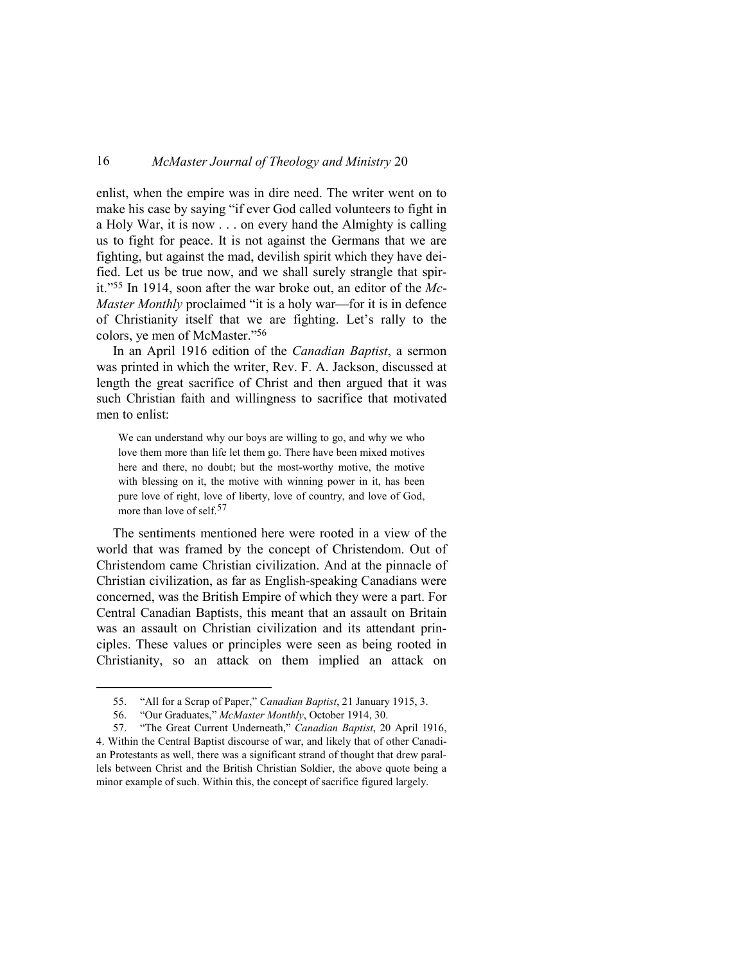enlist, when the empire was in dire need. The writer went on to make his case by saying "if ever God called volunteers to fight in a Holy War, it is now . . . on every hand the Almighty is calling us to fight for peace. It is not against the Germans that we are fighting, but against the mad, devilish spirit which they have deified. Let us be true now, and we shall surely strangle that spirit."55 In 1914, soon after the war broke out, an editor of the *Mc*-*Master Monthly* proclaimed "it is a holy war—for it is in defence of Christianity itself that we are fighting. Let's rally to the colors, ye men of McMaster."<sup>56</sup>

In an April 1916 edition of the *Canadian Baptist*, a sermon was printed in which the writer, Rev. F. A. Jackson, discussed at length the great sacrifice of Christ and then argued that it was such Christian faith and willingness to sacrifice that motivated men to enlist:

We can understand why our boys are willing to go, and why we who love them more than life let them go. There have been mixed motives here and there, no doubt; but the most-worthy motive, the motive with blessing on it, the motive with winning power in it, has been pure love of right, love of liberty, love of country, and love of God, more than love of self.<sup>57</sup>

The sentiments mentioned here were rooted in a view of the world that was framed by the concept of Christendom. Out of Christendom came Christian civilization. And at the pinnacle of Christian civilization, as far as English-speaking Canadians were concerned, was the British Empire of which they were a part. For Central Canadian Baptists, this meant that an assault on Britain was an assault on Christian civilization and its attendant principles. These values or principles were seen as being rooted in Christianity, so an attack on them implied an attack on

<sup>55. &</sup>quot;All for a Scrap of Paper," *Canadian Baptist*, 21 January 1915, 3.

<sup>56. &</sup>quot;Our Graduates," *McMaster Monthly*, October 1914, 30.

<sup>57. &</sup>quot;The Great Current Underneath," *Canadian Baptist*, 20 April 1916, 4. Within the Central Baptist discourse of war, and likely that of other Canadi-

an Protestants as well, there was a significant strand of thought that drew parallels between Christ and the British Christian Soldier, the above quote being a minor example of such. Within this, the concept of sacrifice figured largely.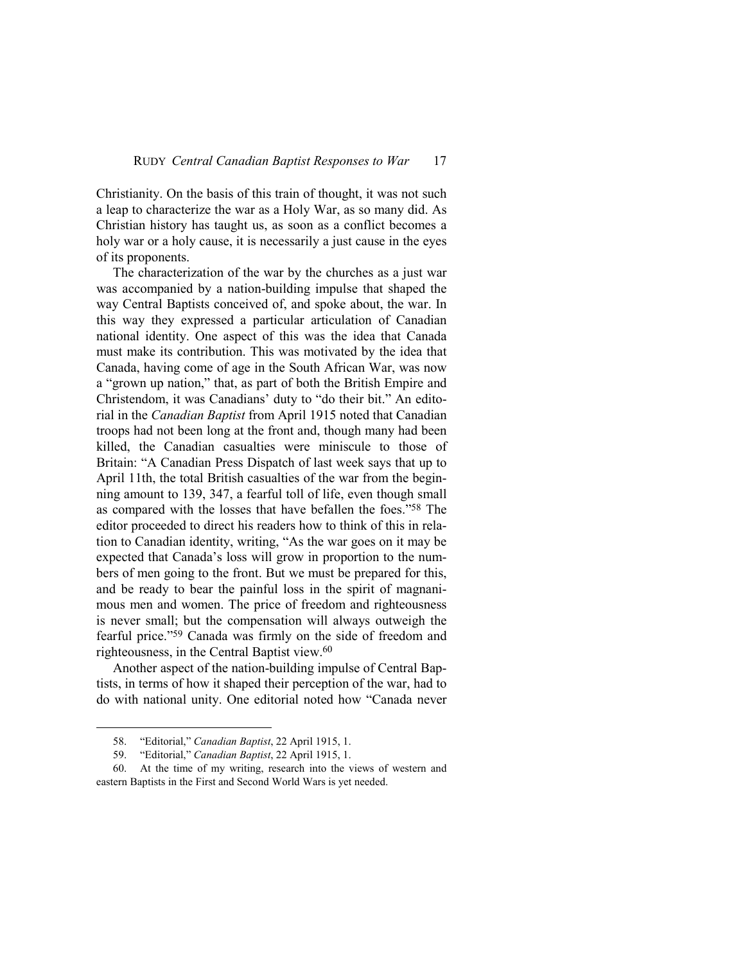Christianity. On the basis of this train of thought, it was not such a leap to characterize the war as a Holy War, as so many did. As Christian history has taught us, as soon as a conflict becomes a holy war or a holy cause, it is necessarily a just cause in the eyes of its proponents.

The characterization of the war by the churches as a just war was accompanied by a nation-building impulse that shaped the way Central Baptists conceived of, and spoke about, the war. In this way they expressed a particular articulation of Canadian national identity. One aspect of this was the idea that Canada must make its contribution. This was motivated by the idea that Canada, having come of age in the South African War, was now a "grown up nation," that, as part of both the British Empire and Christendom, it was Canadians' duty to "do their bit." An editorial in the *Canadian Baptist* from April 1915 noted that Canadian troops had not been long at the front and, though many had been killed, the Canadian casualties were miniscule to those of Britain: "A Canadian Press Dispatch of last week says that up to April 11th, the total British casualties of the war from the beginning amount to 139, 347, a fearful toll of life, even though small as compared with the losses that have befallen the foes."58 The editor proceeded to direct his readers how to think of this in relation to Canadian identity, writing, "As the war goes on it may be expected that Canada's loss will grow in proportion to the numbers of men going to the front. But we must be prepared for this, and be ready to bear the painful loss in the spirit of magnanimous men and women. The price of freedom and righteousness is never small; but the compensation will always outweigh the fearful price."59 Canada was firmly on the side of freedom and righteousness, in the Central Baptist view.<sup>60</sup>

Another aspect of the nation-building impulse of Central Baptists, in terms of how it shaped their perception of the war, had to do with national unity. One editorial noted how "Canada never

<sup>58. &</sup>quot;Editorial," *Canadian Baptist*, 22 April 1915, 1.

<sup>59. &</sup>quot;Editorial," *Canadian Baptist*, 22 April 1915, 1.

<sup>60.</sup> At the time of my writing, research into the views of western and eastern Baptists in the First and Second World Wars is yet needed.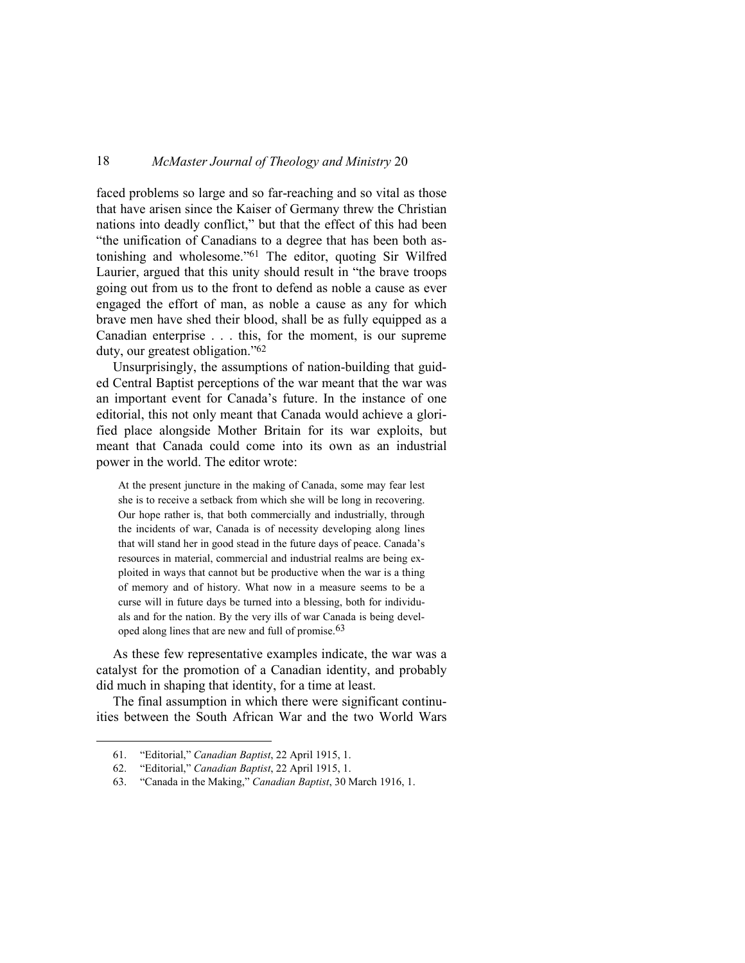faced problems so large and so far-reaching and so vital as those that have arisen since the Kaiser of Germany threw the Christian nations into deadly conflict," but that the effect of this had been "the unification of Canadians to a degree that has been both astonishing and wholesome."61 The editor, quoting Sir Wilfred Laurier, argued that this unity should result in "the brave troops going out from us to the front to defend as noble a cause as ever engaged the effort of man, as noble a cause as any for which brave men have shed their blood, shall be as fully equipped as a Canadian enterprise . . . this, for the moment, is our supreme duty, our greatest obligation."<sup>62</sup>

Unsurprisingly, the assumptions of nation-building that guided Central Baptist perceptions of the war meant that the war was an important event for Canada's future. In the instance of one editorial, this not only meant that Canada would achieve a glorified place alongside Mother Britain for its war exploits, but meant that Canada could come into its own as an industrial power in the world. The editor wrote:

At the present juncture in the making of Canada, some may fear lest she is to receive a setback from which she will be long in recovering. Our hope rather is, that both commercially and industrially, through the incidents of war, Canada is of necessity developing along lines that will stand her in good stead in the future days of peace. Canada's resources in material, commercial and industrial realms are being exploited in ways that cannot but be productive when the war is a thing of memory and of history. What now in a measure seems to be a curse will in future days be turned into a blessing, both for individuals and for the nation. By the very ills of war Canada is being developed along lines that are new and full of promise.63

As these few representative examples indicate, the war was a catalyst for the promotion of a Canadian identity, and probably did much in shaping that identity, for a time at least.

The final assumption in which there were significant continuities between the South African War and the two World Wars

<sup>61. &</sup>quot;Editorial," *Canadian Baptist*, 22 April 1915, 1.

<sup>62. &</sup>quot;Editorial," *Canadian Baptist*, 22 April 1915, 1.

<sup>63. &</sup>quot;Canada in the Making," *Canadian Baptist*, 30 March 1916, 1.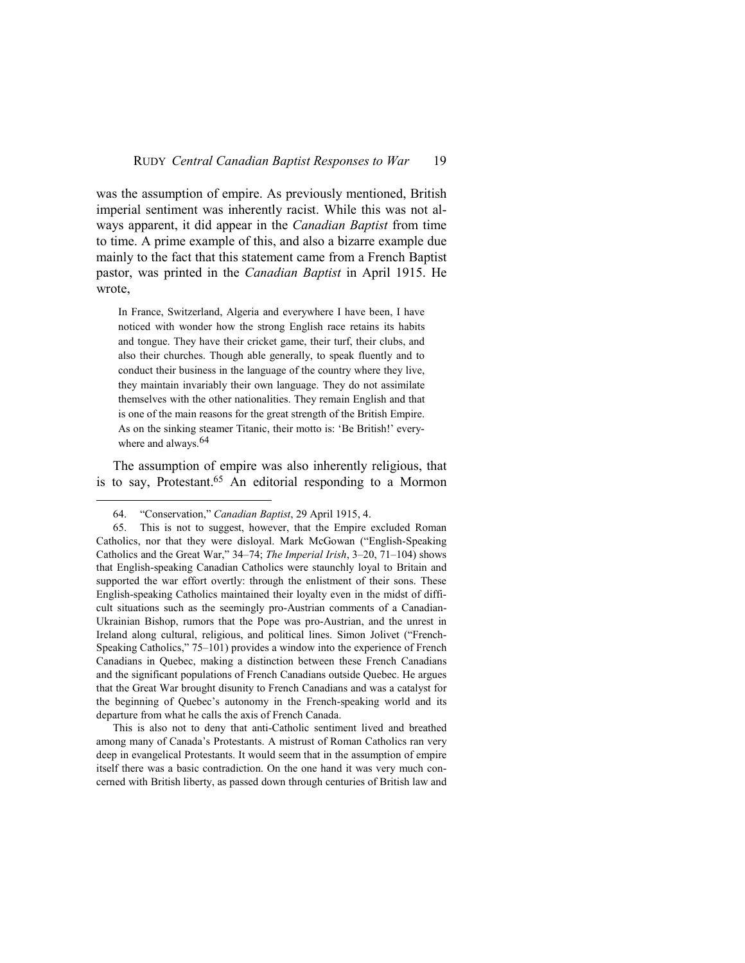was the assumption of empire. As previously mentioned, British imperial sentiment was inherently racist. While this was not always apparent, it did appear in the *Canadian Baptist* from time to time. A prime example of this, and also a bizarre example due mainly to the fact that this statement came from a French Baptist pastor, was printed in the *Canadian Baptist* in April 1915. He wrote,

In France, Switzerland, Algeria and everywhere I have been, I have noticed with wonder how the strong English race retains its habits and tongue. They have their cricket game, their turf, their clubs, and also their churches. Though able generally, to speak fluently and to conduct their business in the language of the country where they live, they maintain invariably their own language. They do not assimilate themselves with the other nationalities. They remain English and that is one of the main reasons for the great strength of the British Empire. As on the sinking steamer Titanic, their motto is: 'Be British!' everywhere and always.<sup>64</sup>

The assumption of empire was also inherently religious, that is to say, Protestant.<sup>65</sup> An editorial responding to a Mormon

 $\overline{a}$ 

This is also not to deny that anti-Catholic sentiment lived and breathed among many of Canada's Protestants. A mistrust of Roman Catholics ran very deep in evangelical Protestants. It would seem that in the assumption of empire itself there was a basic contradiction. On the one hand it was very much concerned with British liberty, as passed down through centuries of British law and

<sup>64. &</sup>quot;Conservation," *Canadian Baptist*, 29 April 1915, 4.

<sup>65.</sup> This is not to suggest, however, that the Empire excluded Roman Catholics, nor that they were disloyal. Mark McGowan ("English-Speaking Catholics and the Great War," 34–74; *The Imperial Irish*, 3–20, 71–104) shows that English-speaking Canadian Catholics were staunchly loyal to Britain and supported the war effort overtly: through the enlistment of their sons. These English-speaking Catholics maintained their loyalty even in the midst of difficult situations such as the seemingly pro-Austrian comments of a Canadian-Ukrainian Bishop, rumors that the Pope was pro-Austrian, and the unrest in Ireland along cultural, religious, and political lines. Simon Jolivet ("French-Speaking Catholics," 75–101) provides a window into the experience of French Canadians in Quebec, making a distinction between these French Canadians and the significant populations of French Canadians outside Quebec. He argues that the Great War brought disunity to French Canadians and was a catalyst for the beginning of Quebec's autonomy in the French-speaking world and its departure from what he calls the axis of French Canada.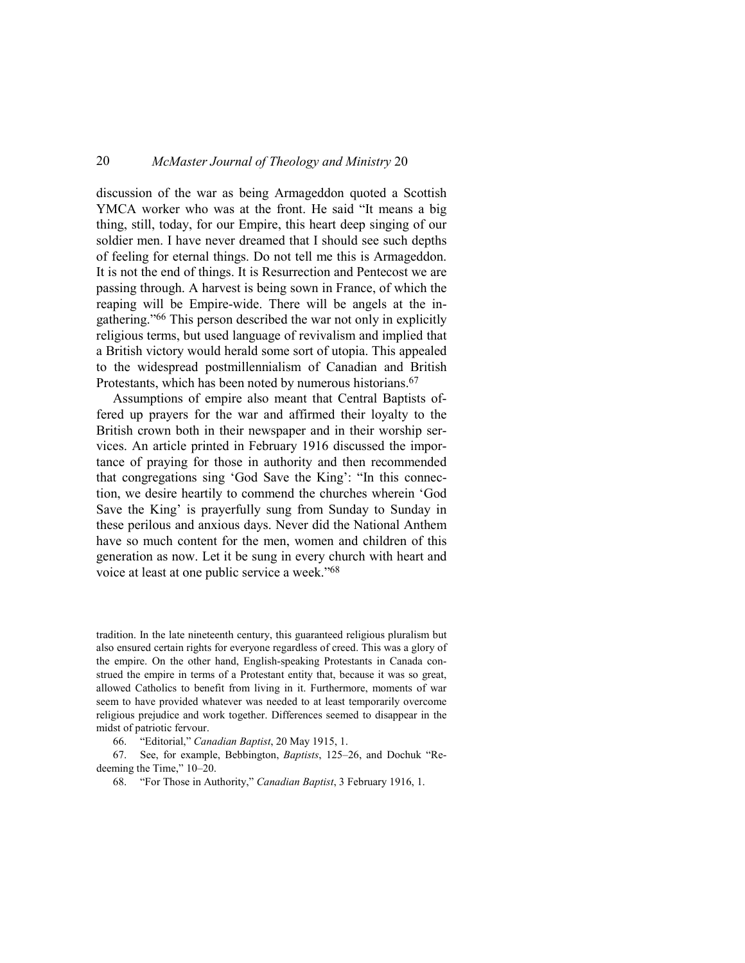discussion of the war as being Armageddon quoted a Scottish YMCA worker who was at the front. He said "It means a big thing, still, today, for our Empire, this heart deep singing of our soldier men. I have never dreamed that I should see such depths of feeling for eternal things. Do not tell me this is Armageddon. It is not the end of things. It is Resurrection and Pentecost we are passing through. A harvest is being sown in France, of which the reaping will be Empire-wide. There will be angels at the ingathering."66 This person described the war not only in explicitly religious terms, but used language of revivalism and implied that a British victory would herald some sort of utopia. This appealed to the widespread postmillennialism of Canadian and British Protestants, which has been noted by numerous historians.<sup>67</sup>

Assumptions of empire also meant that Central Baptists offered up prayers for the war and affirmed their loyalty to the British crown both in their newspaper and in their worship services. An article printed in February 1916 discussed the importance of praying for those in authority and then recommended that congregations sing 'God Save the King': "In this connection, we desire heartily to commend the churches wherein 'God Save the King' is prayerfully sung from Sunday to Sunday in these perilous and anxious days. Never did the National Anthem have so much content for the men, women and children of this generation as now. Let it be sung in every church with heart and voice at least at one public service a week."<sup>68</sup>

tradition. In the late nineteenth century, this guaranteed religious pluralism but also ensured certain rights for everyone regardless of creed. This was a glory of the empire. On the other hand, English-speaking Protestants in Canada construed the empire in terms of a Protestant entity that, because it was so great, allowed Catholics to benefit from living in it. Furthermore, moments of war seem to have provided whatever was needed to at least temporarily overcome religious prejudice and work together. Differences seemed to disappear in the midst of patriotic fervour.

66. "Editorial," *Canadian Baptist*, 20 May 1915, 1.

67. See, for example, Bebbington, *Baptists*, 125–26, and Dochuk "Redeeming the Time," 10–20.

68. "For Those in Authority," *Canadian Baptist*, 3 February 1916, 1.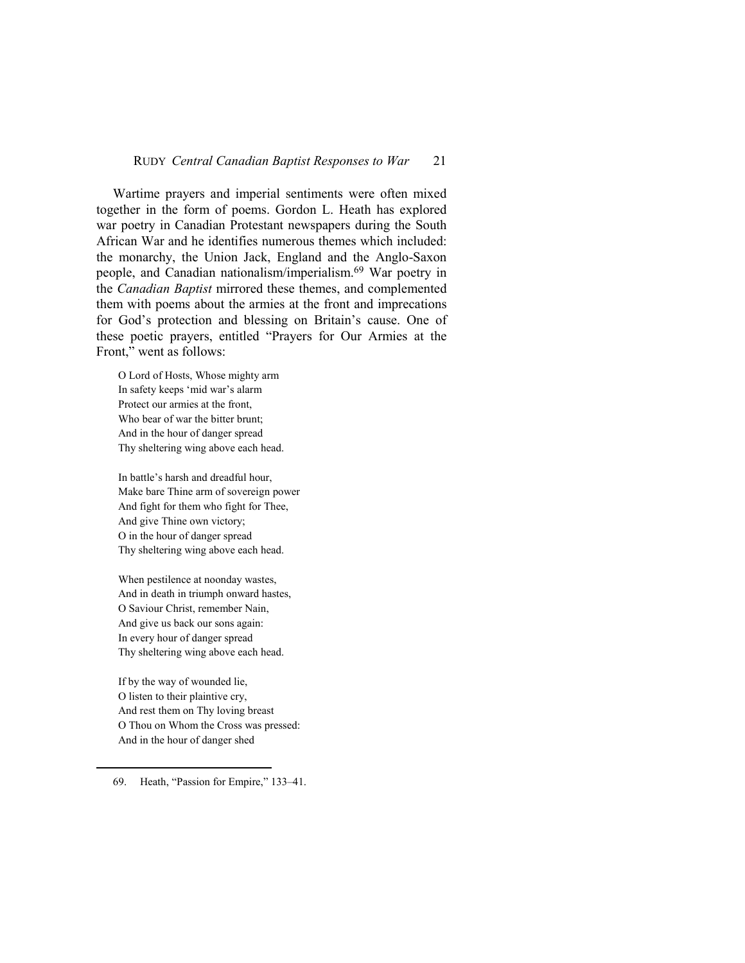#### RUDY *Central Canadian Baptist Responses to War* 21

Wartime prayers and imperial sentiments were often mixed together in the form of poems. Gordon L. Heath has explored war poetry in Canadian Protestant newspapers during the South African War and he identifies numerous themes which included: the monarchy, the Union Jack, England and the Anglo-Saxon people, and Canadian nationalism/imperialism.69 War poetry in the *Canadian Baptist* mirrored these themes, and complemented them with poems about the armies at the front and imprecations for God's protection and blessing on Britain's cause. One of these poetic prayers, entitled "Prayers for Our Armies at the Front," went as follows:

O Lord of Hosts, Whose mighty arm In safety keeps 'mid war's alarm Protect our armies at the front, Who bear of war the bitter brunt; And in the hour of danger spread Thy sheltering wing above each head.

In battle's harsh and dreadful hour, Make bare Thine arm of sovereign power And fight for them who fight for Thee, And give Thine own victory; O in the hour of danger spread Thy sheltering wing above each head.

When pestilence at noonday wastes, And in death in triumph onward hastes, O Saviour Christ, remember Nain, And give us back our sons again: In every hour of danger spread Thy sheltering wing above each head.

If by the way of wounded lie, O listen to their plaintive cry, And rest them on Thy loving breast O Thou on Whom the Cross was pressed: And in the hour of danger shed

<sup>69.</sup> Heath, "Passion for Empire," 133–41.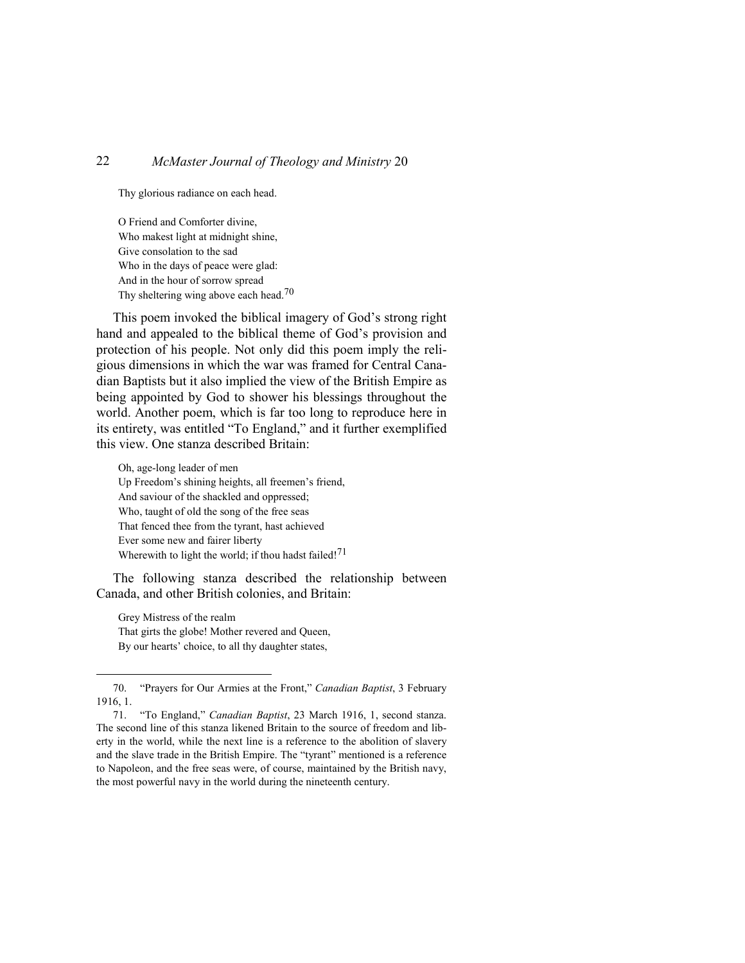Thy glorious radiance on each head.

O Friend and Comforter divine, Who makest light at midnight shine, Give consolation to the sad Who in the days of peace were glad: And in the hour of sorrow spread Thy sheltering wing above each head.70

This poem invoked the biblical imagery of God's strong right hand and appealed to the biblical theme of God's provision and protection of his people. Not only did this poem imply the religious dimensions in which the war was framed for Central Canadian Baptists but it also implied the view of the British Empire as being appointed by God to shower his blessings throughout the world. Another poem, which is far too long to reproduce here in its entirety, was entitled "To England," and it further exemplified this view. One stanza described Britain:

Oh, age-long leader of men Up Freedom's shining heights, all freemen's friend, And saviour of the shackled and oppressed; Who, taught of old the song of the free seas That fenced thee from the tyrant, hast achieved Ever some new and fairer liberty Wherewith to light the world; if thou hadst failed!<sup>71</sup>

The following stanza described the relationship between Canada, and other British colonies, and Britain:

Grey Mistress of the realm That girts the globe! Mother revered and Queen, By our hearts' choice, to all thy daughter states,

<sup>70. &</sup>quot;Prayers for Our Armies at the Front," *Canadian Baptist*, 3 February 1916, 1.

<sup>71. &</sup>quot;To England," *Canadian Baptist*, 23 March 1916, 1, second stanza. The second line of this stanza likened Britain to the source of freedom and liberty in the world, while the next line is a reference to the abolition of slavery and the slave trade in the British Empire. The "tyrant" mentioned is a reference to Napoleon, and the free seas were, of course, maintained by the British navy, the most powerful navy in the world during the nineteenth century.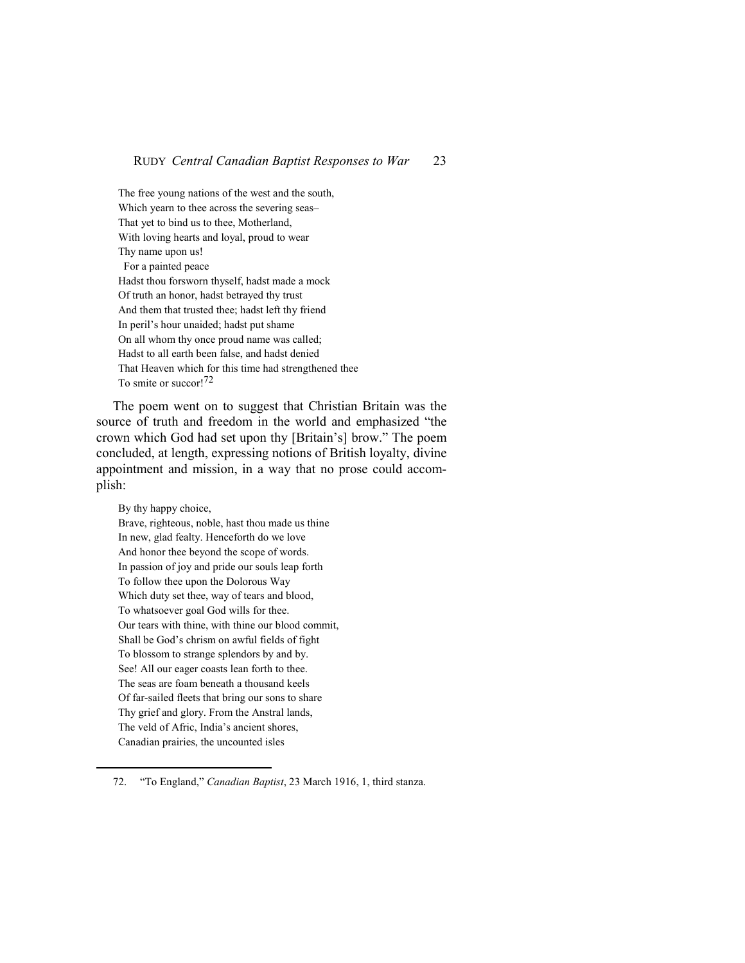The free young nations of the west and the south, Which yearn to thee across the severing seas– That yet to bind us to thee, Motherland, With loving hearts and loyal, proud to wear Thy name upon us! For a painted peace Hadst thou forsworn thyself, hadst made a mock Of truth an honor, hadst betrayed thy trust And them that trusted thee; hadst left thy friend In peril's hour unaided; hadst put shame On all whom thy once proud name was called; Hadst to all earth been false, and hadst denied That Heaven which for this time had strengthened thee To smite or succor!72

The poem went on to suggest that Christian Britain was the source of truth and freedom in the world and emphasized "the crown which God had set upon thy [Britain's] brow." The poem concluded, at length, expressing notions of British loyalty, divine appointment and mission, in a way that no prose could accomplish:

By thy happy choice, Brave, righteous, noble, hast thou made us thine In new, glad fealty. Henceforth do we love And honor thee beyond the scope of words. In passion of joy and pride our souls leap forth To follow thee upon the Dolorous Way Which duty set thee, way of tears and blood, To whatsoever goal God wills for thee. Our tears with thine, with thine our blood commit, Shall be God's chrism on awful fields of fight To blossom to strange splendors by and by. See! All our eager coasts lean forth to thee. The seas are foam beneath a thousand keels Of far-sailed fleets that bring our sons to share Thy grief and glory. From the Anstral lands, The veld of Afric, India's ancient shores, Canadian prairies, the uncounted isles

<sup>72. &</sup>quot;To England," *Canadian Baptist*, 23 March 1916, 1, third stanza.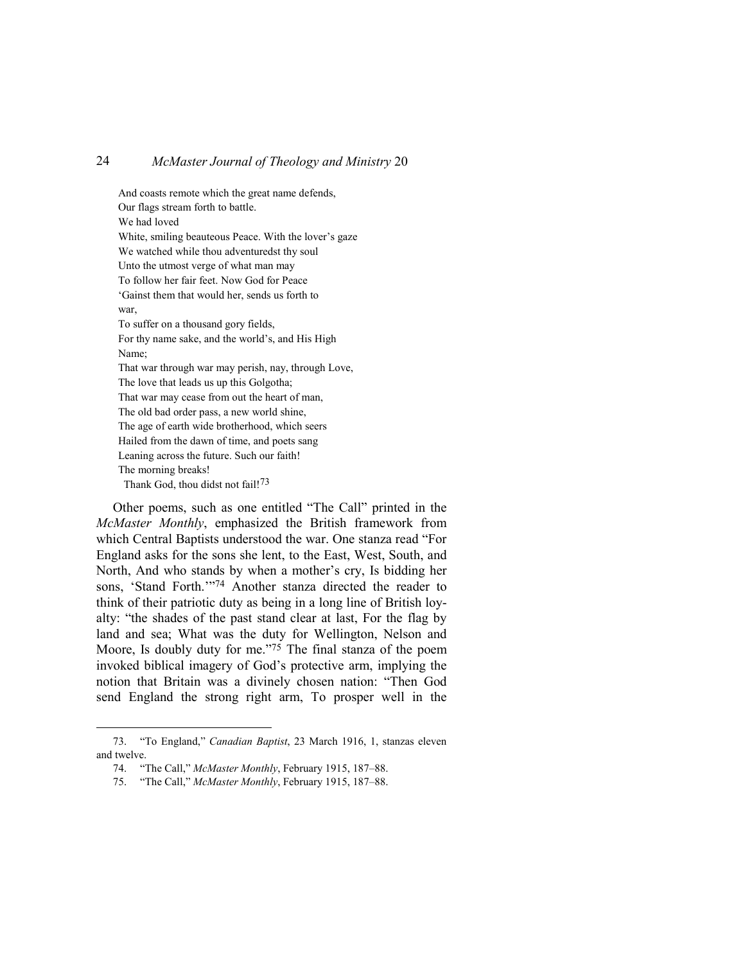And coasts remote which the great name defends, Our flags stream forth to battle. We had loved White, smiling beauteous Peace. With the lover's gaze We watched while thou adventuredst thy soul Unto the utmost verge of what man may To follow her fair feet. Now God for Peace 'Gainst them that would her, sends us forth to war, To suffer on a thousand gory fields, For thy name sake, and the world's, and His High Name; That war through war may perish, nay, through Love, The love that leads us up this Golgotha; That war may cease from out the heart of man, The old bad order pass, a new world shine, The age of earth wide brotherhood, which seers Hailed from the dawn of time, and poets sang Leaning across the future. Such our faith! The morning breaks! Thank God, thou didst not fail!<sup>73</sup>

Other poems, such as one entitled "The Call" printed in the *McMaster Monthly*, emphasized the British framework from which Central Baptists understood the war. One stanza read "For England asks for the sons she lent, to the East, West, South, and North, And who stands by when a mother's cry, Is bidding her sons, 'Stand Forth.'"74 Another stanza directed the reader to think of their patriotic duty as being in a long line of British loyalty: "the shades of the past stand clear at last, For the flag by land and sea; What was the duty for Wellington, Nelson and Moore, Is doubly duty for me."<sup>75</sup> The final stanza of the poem invoked biblical imagery of God's protective arm, implying the notion that Britain was a divinely chosen nation: "Then God send England the strong right arm, To prosper well in the

<sup>73. &</sup>quot;To England," *Canadian Baptist*, 23 March 1916, 1, stanzas eleven and twelve.

<sup>74. &</sup>quot;The Call," *McMaster Monthly*, February 1915, 187–88.

<sup>75. &</sup>quot;The Call," *McMaster Monthly*, February 1915, 187–88.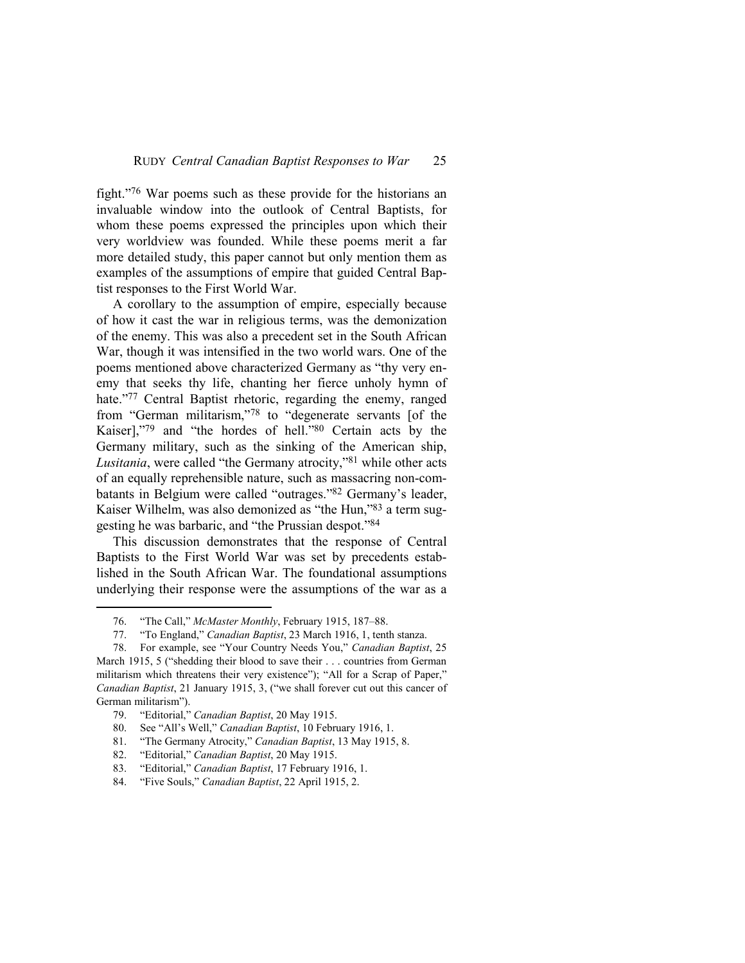fight."76 War poems such as these provide for the historians an invaluable window into the outlook of Central Baptists, for whom these poems expressed the principles upon which their very worldview was founded. While these poems merit a far more detailed study, this paper cannot but only mention them as examples of the assumptions of empire that guided Central Baptist responses to the First World War.

A corollary to the assumption of empire, especially because of how it cast the war in religious terms, was the demonization of the enemy. This was also a precedent set in the South African War, though it was intensified in the two world wars. One of the poems mentioned above characterized Germany as "thy very enemy that seeks thy life, chanting her fierce unholy hymn of hate."77 Central Baptist rhetoric, regarding the enemy, ranged from "German militarism,"78 to "degenerate servants [of the Kaiser],"79 and "the hordes of hell."80 Certain acts by the Germany military, such as the sinking of the American ship, *Lusitania*, were called "the Germany atrocity,"81 while other acts of an equally reprehensible nature, such as massacring non-combatants in Belgium were called "outrages."82 Germany's leader, Kaiser Wilhelm, was also demonized as "the Hun,"83 a term suggesting he was barbaric, and "the Prussian despot."<sup>84</sup>

This discussion demonstrates that the response of Central Baptists to the First World War was set by precedents established in the South African War. The foundational assumptions underlying their response were the assumptions of the war as a

<sup>76. &</sup>quot;The Call," *McMaster Monthly*, February 1915, 187–88.

<sup>77. &</sup>quot;To England," *Canadian Baptist*, 23 March 1916, 1, tenth stanza.

<sup>78.</sup> For example, see "Your Country Needs You," *Canadian Baptist*, 25 March 1915, 5 ("shedding their blood to save their . . . countries from German militarism which threatens their very existence"); "All for a Scrap of Paper," *Canadian Baptist*, 21 January 1915, 3, ("we shall forever cut out this cancer of German militarism").

<sup>79. &</sup>quot;Editorial," *Canadian Baptist*, 20 May 1915.

<sup>80.</sup> See "All's Well," *Canadian Baptist*, 10 February 1916, 1.

<sup>81. &</sup>quot;The Germany Atrocity," *Canadian Baptist*, 13 May 1915, 8.

<sup>82. &</sup>quot;Editorial," *Canadian Baptist*, 20 May 1915.

<sup>83. &</sup>quot;Editorial," *Canadian Baptist*, 17 February 1916, 1.

<sup>84. &</sup>quot;Five Souls," *Canadian Baptist*, 22 April 1915, 2.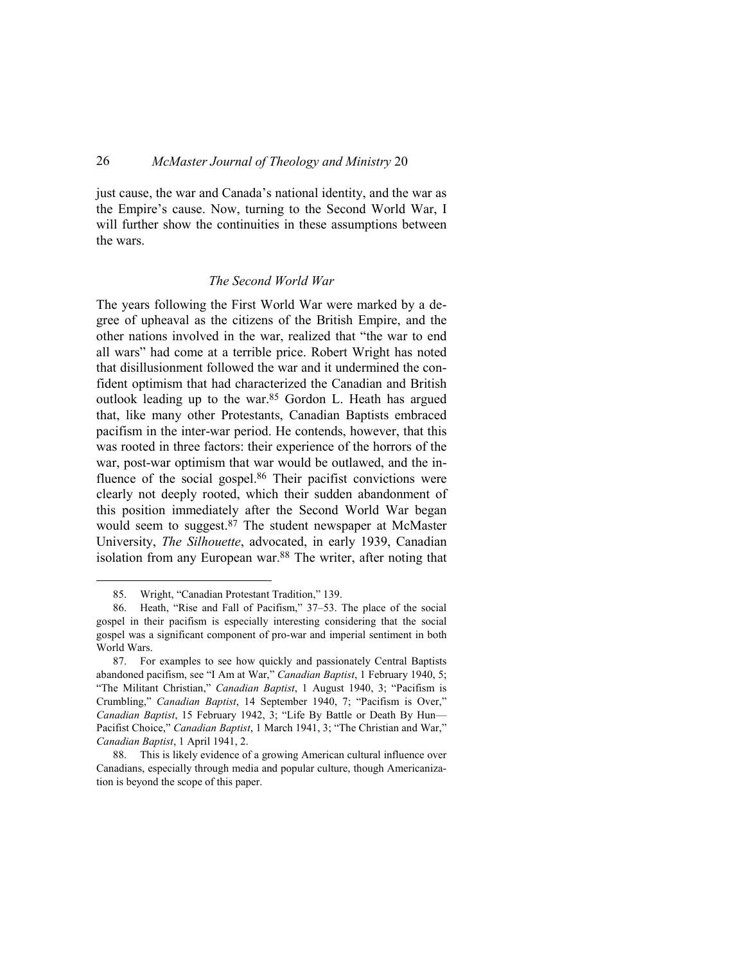just cause, the war and Canada's national identity, and the war as the Empire's cause. Now, turning to the Second World War, I will further show the continuities in these assumptions between the wars.

#### *The Second World War*

The years following the First World War were marked by a degree of upheaval as the citizens of the British Empire, and the other nations involved in the war, realized that "the war to end all wars" had come at a terrible price. Robert Wright has noted that disillusionment followed the war and it undermined the confident optimism that had characterized the Canadian and British outlook leading up to the war.<sup>85</sup> Gordon L. Heath has argued that, like many other Protestants, Canadian Baptists embraced pacifism in the inter-war period. He contends, however, that this was rooted in three factors: their experience of the horrors of the war, post-war optimism that war would be outlawed, and the influence of the social gospel.<sup>86</sup> Their pacifist convictions were clearly not deeply rooted, which their sudden abandonment of this position immediately after the Second World War began would seem to suggest.87 The student newspaper at McMaster University, *The Silhouette*, advocated, in early 1939, Canadian isolation from any European war.<sup>88</sup> The writer, after noting that

<sup>85.</sup> Wright, "Canadian Protestant Tradition," 139.

<sup>86.</sup> Heath, "Rise and Fall of Pacifism," 37–53. The place of the social gospel in their pacifism is especially interesting considering that the social gospel was a significant component of pro-war and imperial sentiment in both World Wars.

<sup>87.</sup> For examples to see how quickly and passionately Central Baptists abandoned pacifism, see "I Am at War," *Canadian Baptist*, 1 February 1940, 5; "The Militant Christian," *Canadian Baptist*, 1 August 1940, 3; "Pacifism is Crumbling," *Canadian Baptist*, 14 September 1940, 7; "Pacifism is Over," *Canadian Baptist*, 15 February 1942, 3; "Life By Battle or Death By Hun— Pacifist Choice," *Canadian Baptist*, 1 March 1941, 3; "The Christian and War," *Canadian Baptist*, 1 April 1941, 2.

<sup>88.</sup> This is likely evidence of a growing American cultural influence over Canadians, especially through media and popular culture, though Americanization is beyond the scope of this paper.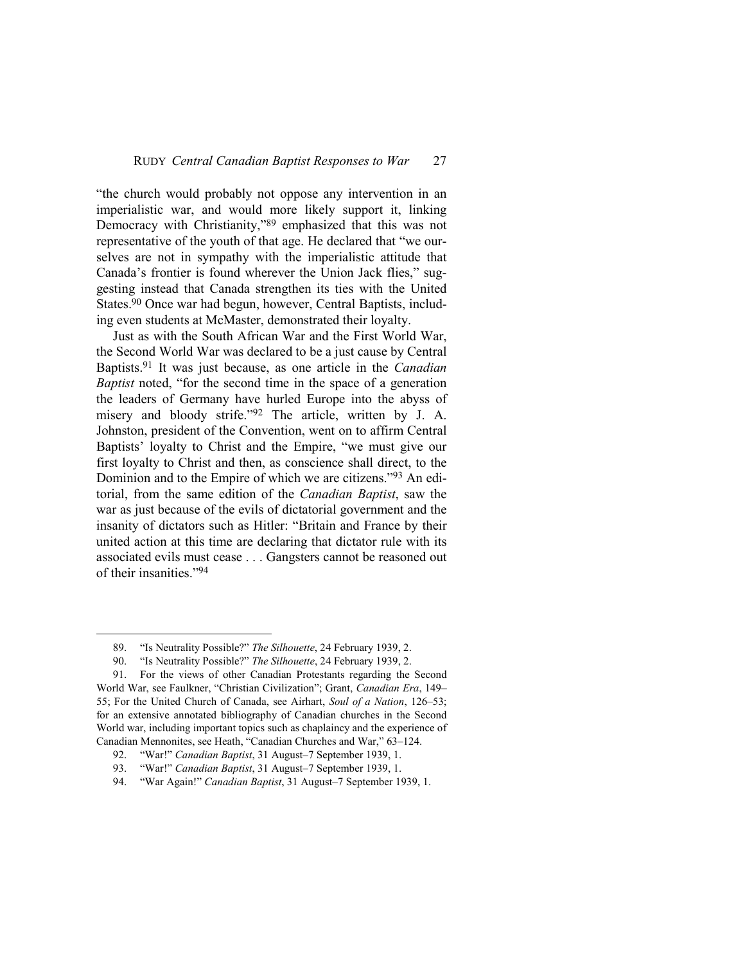"the church would probably not oppose any intervention in an imperialistic war, and would more likely support it, linking Democracy with Christianity,"89 emphasized that this was not representative of the youth of that age. He declared that "we ourselves are not in sympathy with the imperialistic attitude that Canada's frontier is found wherever the Union Jack flies," suggesting instead that Canada strengthen its ties with the United States.90 Once war had begun, however, Central Baptists, including even students at McMaster, demonstrated their loyalty.

Just as with the South African War and the First World War, the Second World War was declared to be a just cause by Central Baptists.91 It was just because, as one article in the *Canadian Baptist* noted, "for the second time in the space of a generation the leaders of Germany have hurled Europe into the abyss of misery and bloody strife."92 The article, written by J. A. Johnston, president of the Convention, went on to affirm Central Baptists' loyalty to Christ and the Empire, "we must give our first loyalty to Christ and then, as conscience shall direct, to the Dominion and to the Empire of which we are citizens."93 An editorial, from the same edition of the *Canadian Baptist*, saw the war as just because of the evils of dictatorial government and the insanity of dictators such as Hitler: "Britain and France by their united action at this time are declaring that dictator rule with its associated evils must cease . . . Gangsters cannot be reasoned out of their insanities."<sup>94</sup>

<sup>89. &</sup>quot;Is Neutrality Possible?" *The Silhouette*, 24 February 1939, 2.

<sup>90. &</sup>quot;Is Neutrality Possible?" *The Silhouette*, 24 February 1939, 2.

<sup>91.</sup> For the views of other Canadian Protestants regarding the Second World War, see Faulkner, "Christian Civilization"; Grant, *Canadian Era*, 149– 55; For the United Church of Canada, see Airhart, *Soul of a Nation*, 126–53; for an extensive annotated bibliography of Canadian churches in the Second World war, including important topics such as chaplaincy and the experience of Canadian Mennonites, see Heath, "Canadian Churches and War," 63–124.

<sup>92. &</sup>quot;War!" *Canadian Baptist*, 31 August–7 September 1939, 1.

<sup>93. &</sup>quot;War!" *Canadian Baptist*, 31 August–7 September 1939, 1.

<sup>94. &</sup>quot;War Again!" *Canadian Baptist*, 31 August–7 September 1939, 1.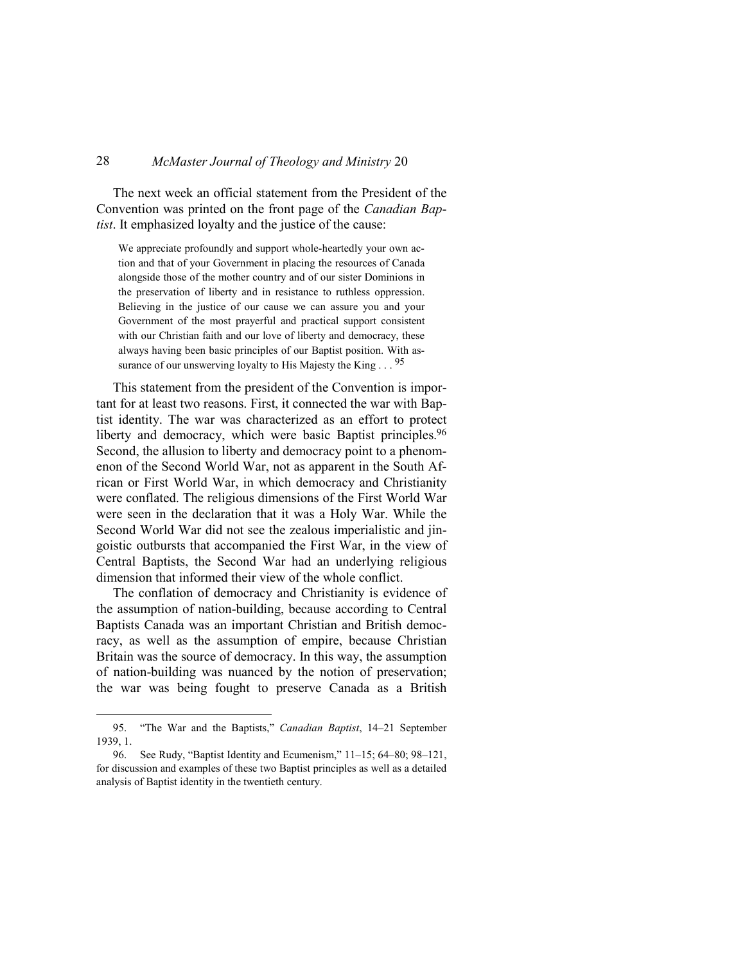The next week an official statement from the President of the Convention was printed on the front page of the *Canadian Baptist*. It emphasized loyalty and the justice of the cause:

We appreciate profoundly and support whole-heartedly your own action and that of your Government in placing the resources of Canada alongside those of the mother country and of our sister Dominions in the preservation of liberty and in resistance to ruthless oppression. Believing in the justice of our cause we can assure you and your Government of the most prayerful and practical support consistent with our Christian faith and our love of liberty and democracy, these always having been basic principles of our Baptist position. With assurance of our unswerving loyalty to His Majesty the King . . . 95

This statement from the president of the Convention is important for at least two reasons. First, it connected the war with Baptist identity. The war was characterized as an effort to protect liberty and democracy, which were basic Baptist principles.<sup>96</sup> Second, the allusion to liberty and democracy point to a phenomenon of the Second World War, not as apparent in the South African or First World War, in which democracy and Christianity were conflated. The religious dimensions of the First World War were seen in the declaration that it was a Holy War. While the Second World War did not see the zealous imperialistic and jingoistic outbursts that accompanied the First War, in the view of Central Baptists, the Second War had an underlying religious dimension that informed their view of the whole conflict.

The conflation of democracy and Christianity is evidence of the assumption of nation-building, because according to Central Baptists Canada was an important Christian and British democracy, as well as the assumption of empire, because Christian Britain was the source of democracy. In this way, the assumption of nation-building was nuanced by the notion of preservation; the war was being fought to preserve Canada as a British

<sup>95. &</sup>quot;The War and the Baptists," *Canadian Baptist*, 14–21 September 1939, 1.

<sup>96.</sup> See Rudy, "Baptist Identity and Ecumenism," 11–15; 64–80; 98–121, for discussion and examples of these two Baptist principles as well as a detailed analysis of Baptist identity in the twentieth century.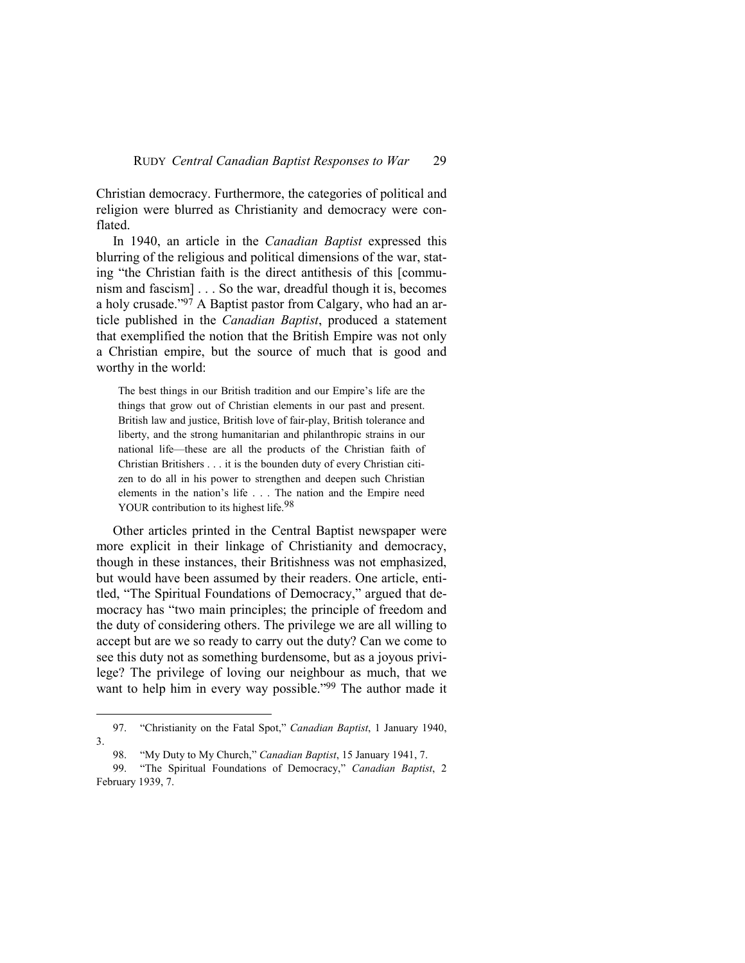Christian democracy. Furthermore, the categories of political and religion were blurred as Christianity and democracy were conflated.

In 1940, an article in the *Canadian Baptist* expressed this blurring of the religious and political dimensions of the war, stating "the Christian faith is the direct antithesis of this [communism and fascism] . . . So the war, dreadful though it is, becomes a holy crusade."97 A Baptist pastor from Calgary, who had an article published in the *Canadian Baptist*, produced a statement that exemplified the notion that the British Empire was not only a Christian empire, but the source of much that is good and worthy in the world:

The best things in our British tradition and our Empire's life are the things that grow out of Christian elements in our past and present. British law and justice, British love of fair-play, British tolerance and liberty, and the strong humanitarian and philanthropic strains in our national life—these are all the products of the Christian faith of Christian Britishers . . . it is the bounden duty of every Christian citizen to do all in his power to strengthen and deepen such Christian elements in the nation's life . . . The nation and the Empire need YOUR contribution to its highest life.<sup>98</sup>

Other articles printed in the Central Baptist newspaper were more explicit in their linkage of Christianity and democracy, though in these instances, their Britishness was not emphasized, but would have been assumed by their readers. One article, entitled, "The Spiritual Foundations of Democracy," argued that democracy has "two main principles; the principle of freedom and the duty of considering others. The privilege we are all willing to accept but are we so ready to carry out the duty? Can we come to see this duty not as something burdensome, but as a joyous privilege? The privilege of loving our neighbour as much, that we want to help him in every way possible."<sup>99</sup> The author made it

<sup>97. &</sup>quot;Christianity on the Fatal Spot," *Canadian Baptist*, 1 January 1940, 3.

<sup>98. &</sup>quot;My Duty to My Church," *Canadian Baptist*, 15 January 1941, 7.

<sup>99. &</sup>quot;The Spiritual Foundations of Democracy," *Canadian Baptist*, 2 February 1939, 7.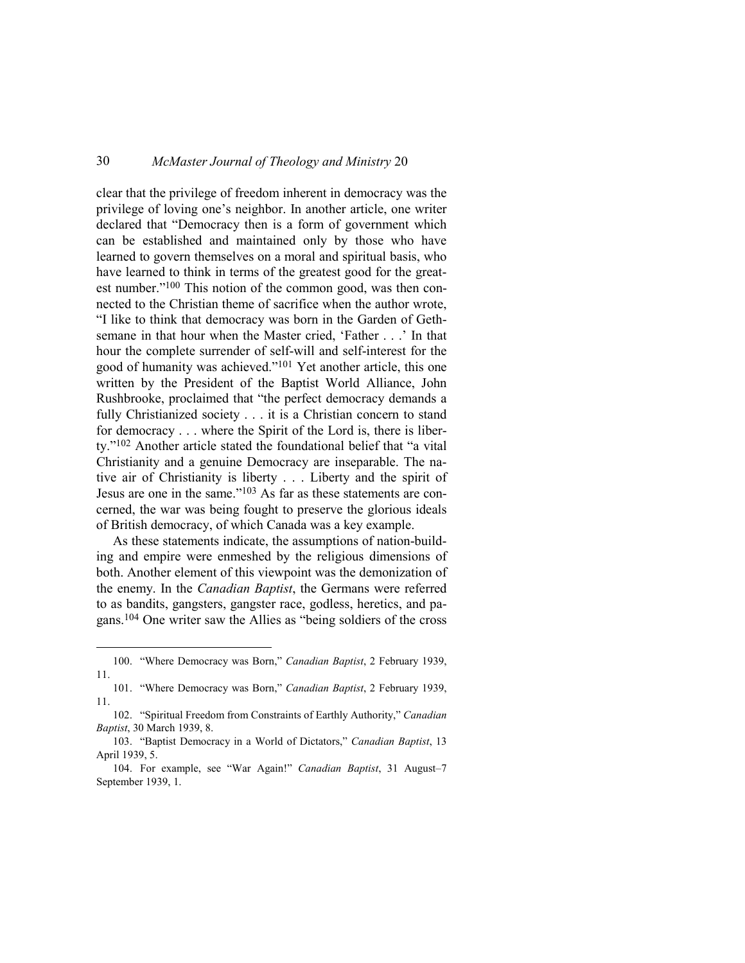clear that the privilege of freedom inherent in democracy was the privilege of loving one's neighbor. In another article, one writer declared that "Democracy then is a form of government which can be established and maintained only by those who have learned to govern themselves on a moral and spiritual basis, who have learned to think in terms of the greatest good for the greatest number."100 This notion of the common good, was then connected to the Christian theme of sacrifice when the author wrote, "I like to think that democracy was born in the Garden of Gethsemane in that hour when the Master cried, 'Father . . .' In that hour the complete surrender of self-will and self-interest for the good of humanity was achieved."101 Yet another article, this one written by the President of the Baptist World Alliance, John Rushbrooke, proclaimed that "the perfect democracy demands a fully Christianized society . . . it is a Christian concern to stand for democracy . . . where the Spirit of the Lord is, there is liberty."102 Another article stated the foundational belief that "a vital Christianity and a genuine Democracy are inseparable. The native air of Christianity is liberty . . . Liberty and the spirit of Jesus are one in the same."103 As far as these statements are concerned, the war was being fought to preserve the glorious ideals of British democracy, of which Canada was a key example.

As these statements indicate, the assumptions of nation-building and empire were enmeshed by the religious dimensions of both. Another element of this viewpoint was the demonization of the enemy. In the *Canadian Baptist*, the Germans were referred to as bandits, gangsters, gangster race, godless, heretics, and pagans.104 One writer saw the Allies as "being soldiers of the cross

<sup>100. &</sup>quot;Where Democracy was Born," *Canadian Baptist*, 2 February 1939, 11.

<sup>101. &</sup>quot;Where Democracy was Born," *Canadian Baptist*, 2 February 1939, 11.

<sup>102. &</sup>quot;Spiritual Freedom from Constraints of Earthly Authority," *Canadian Baptist*, 30 March 1939, 8.

<sup>103. &</sup>quot;Baptist Democracy in a World of Dictators," *Canadian Baptist*, 13 April 1939, 5.

<sup>104.</sup> For example, see "War Again!" *Canadian Baptist*, 31 August–7 September 1939, 1.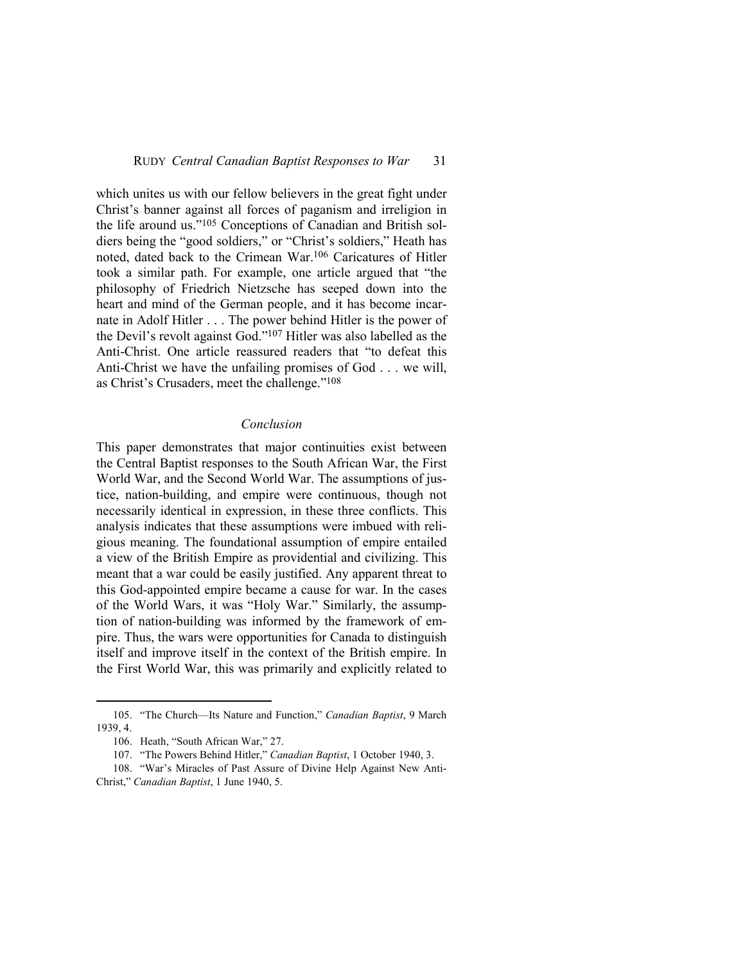which unites us with our fellow believers in the great fight under Christ's banner against all forces of paganism and irreligion in the life around us."105 Conceptions of Canadian and British soldiers being the "good soldiers," or "Christ's soldiers," Heath has noted, dated back to the Crimean War.106 Caricatures of Hitler took a similar path. For example, one article argued that "the philosophy of Friedrich Nietzsche has seeped down into the heart and mind of the German people, and it has become incarnate in Adolf Hitler . . . The power behind Hitler is the power of the Devil's revolt against God."107 Hitler was also labelled as the Anti-Christ. One article reassured readers that "to defeat this Anti-Christ we have the unfailing promises of God . . . we will, as Christ's Crusaders, meet the challenge."<sup>108</sup>

#### *Conclusion*

This paper demonstrates that major continuities exist between the Central Baptist responses to the South African War, the First World War, and the Second World War. The assumptions of justice, nation-building, and empire were continuous, though not necessarily identical in expression, in these three conflicts. This analysis indicates that these assumptions were imbued with religious meaning. The foundational assumption of empire entailed a view of the British Empire as providential and civilizing. This meant that a war could be easily justified. Any apparent threat to this God-appointed empire became a cause for war. In the cases of the World Wars, it was "Holy War." Similarly, the assumption of nation-building was informed by the framework of empire. Thus, the wars were opportunities for Canada to distinguish itself and improve itself in the context of the British empire. In the First World War, this was primarily and explicitly related to

<sup>105. &</sup>quot;The Church—Its Nature and Function," *Canadian Baptist*, 9 March 1939, 4.

<sup>106.</sup> Heath, "South African War," 27.

<sup>107. &</sup>quot;The Powers Behind Hitler," *Canadian Baptist*, 1 October 1940, 3.

<sup>108. &</sup>quot;War's Miracles of Past Assure of Divine Help Against New Anti-Christ," *Canadian Baptist*, 1 June 1940, 5.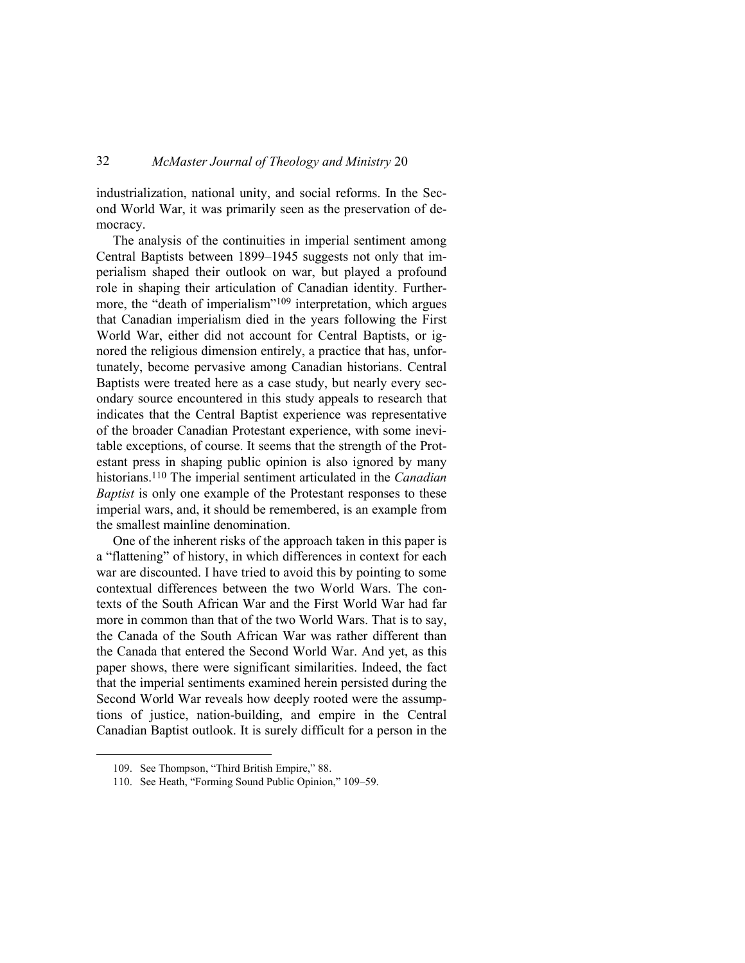industrialization, national unity, and social reforms. In the Second World War, it was primarily seen as the preservation of democracy.

The analysis of the continuities in imperial sentiment among Central Baptists between 1899–1945 suggests not only that imperialism shaped their outlook on war, but played a profound role in shaping their articulation of Canadian identity. Furthermore, the "death of imperialism"109 interpretation, which argues that Canadian imperialism died in the years following the First World War, either did not account for Central Baptists, or ignored the religious dimension entirely, a practice that has, unfortunately, become pervasive among Canadian historians. Central Baptists were treated here as a case study, but nearly every secondary source encountered in this study appeals to research that indicates that the Central Baptist experience was representative of the broader Canadian Protestant experience, with some inevitable exceptions, of course. It seems that the strength of the Protestant press in shaping public opinion is also ignored by many historians.110 The imperial sentiment articulated in the *Canadian Baptist* is only one example of the Protestant responses to these imperial wars, and, it should be remembered, is an example from the smallest mainline denomination.

One of the inherent risks of the approach taken in this paper is a "flattening" of history, in which differences in context for each war are discounted. I have tried to avoid this by pointing to some contextual differences between the two World Wars. The contexts of the South African War and the First World War had far more in common than that of the two World Wars. That is to say, the Canada of the South African War was rather different than the Canada that entered the Second World War. And yet, as this paper shows, there were significant similarities. Indeed, the fact that the imperial sentiments examined herein persisted during the Second World War reveals how deeply rooted were the assumptions of justice, nation-building, and empire in the Central Canadian Baptist outlook. It is surely difficult for a person in the

<sup>109.</sup> See Thompson, "Third British Empire," 88.

<sup>110.</sup> See Heath, "Forming Sound Public Opinion," 109–59.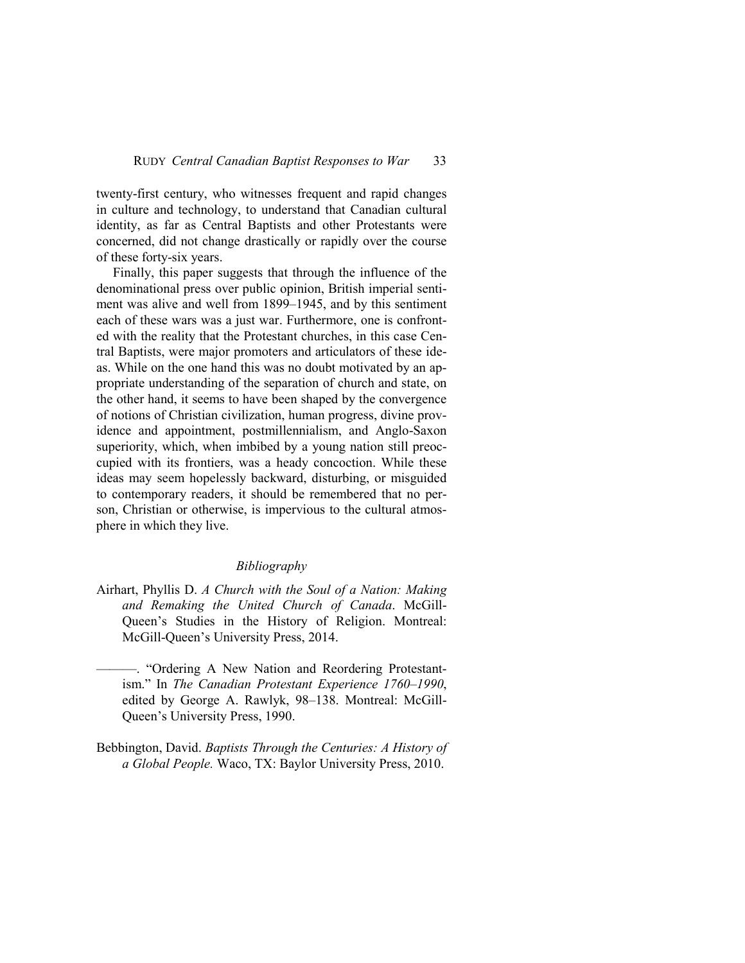twenty-first century, who witnesses frequent and rapid changes in culture and technology, to understand that Canadian cultural identity, as far as Central Baptists and other Protestants were concerned, did not change drastically or rapidly over the course of these forty-six years.

Finally, this paper suggests that through the influence of the denominational press over public opinion, British imperial sentiment was alive and well from 1899–1945, and by this sentiment each of these wars was a just war. Furthermore, one is confronted with the reality that the Protestant churches, in this case Central Baptists, were major promoters and articulators of these ideas. While on the one hand this was no doubt motivated by an appropriate understanding of the separation of church and state, on the other hand, it seems to have been shaped by the convergence of notions of Christian civilization, human progress, divine providence and appointment, postmillennialism, and Anglo-Saxon superiority, which, when imbibed by a young nation still preoccupied with its frontiers, was a heady concoction. While these ideas may seem hopelessly backward, disturbing, or misguided to contemporary readers, it should be remembered that no person, Christian or otherwise, is impervious to the cultural atmosphere in which they live.

#### *Bibliography*

- Airhart, Phyllis D. *A Church with the Soul of a Nation: Making and Remaking the United Church of Canada*. McGill-Queen's Studies in the History of Religion. Montreal: McGill-Queen's University Press, 2014.
- ———. "Ordering A New Nation and Reordering Protestantism." In *The Canadian Protestant Experience 1760–1990*, edited by George A. Rawlyk, 98–138. Montreal: McGill-Queen's University Press, 1990.
- Bebbington, David. *Baptists Through the Centuries: A History of a Global People.* Waco, TX: Baylor University Press, 2010.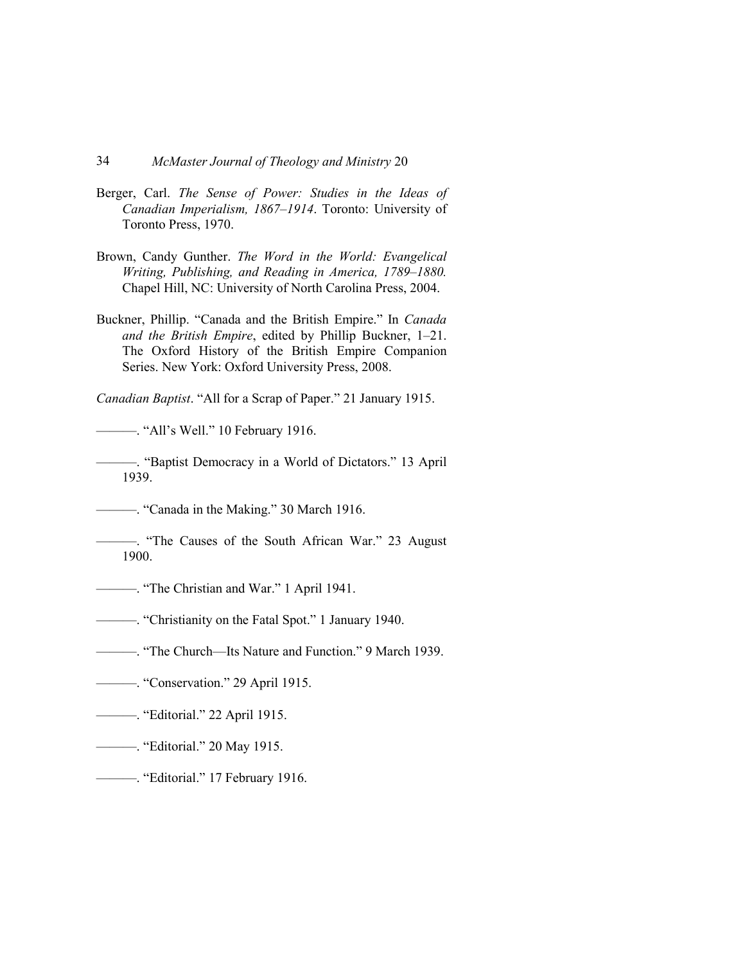- Berger, Carl. *The Sense of Power: Studies in the Ideas of Canadian Imperialism, 1867–1914*. Toronto: University of Toronto Press, 1970.
- Brown, Candy Gunther. *The Word in the World: Evangelical Writing, Publishing, and Reading in America, 1789–1880.*  Chapel Hill, NC: University of North Carolina Press, 2004.
- Buckner, Phillip. "Canada and the British Empire." In *Canada and the British Empire*, edited by Phillip Buckner, 1–21. The Oxford History of the British Empire Companion Series. New York: Oxford University Press, 2008.

*Canadian Baptist*. "All for a Scrap of Paper." 21 January 1915.

———. "All's Well." 10 February 1916.

———. "Baptist Democracy in a World of Dictators." 13 April 1939.

———. "Canada in the Making." 30 March 1916.

- ———. "The Causes of the South African War." 23 August 1900.
- ———. "The Christian and War." 1 April 1941.
- ———. "Christianity on the Fatal Spot." 1 January 1940.
- ———. "The Church—Its Nature and Function." 9 March 1939.
- ———. "Conservation." 29 April 1915.
- ———. "Editorial." 22 April 1915.
- ———. "Editorial." 20 May 1915.
- ———. "Editorial." 17 February 1916.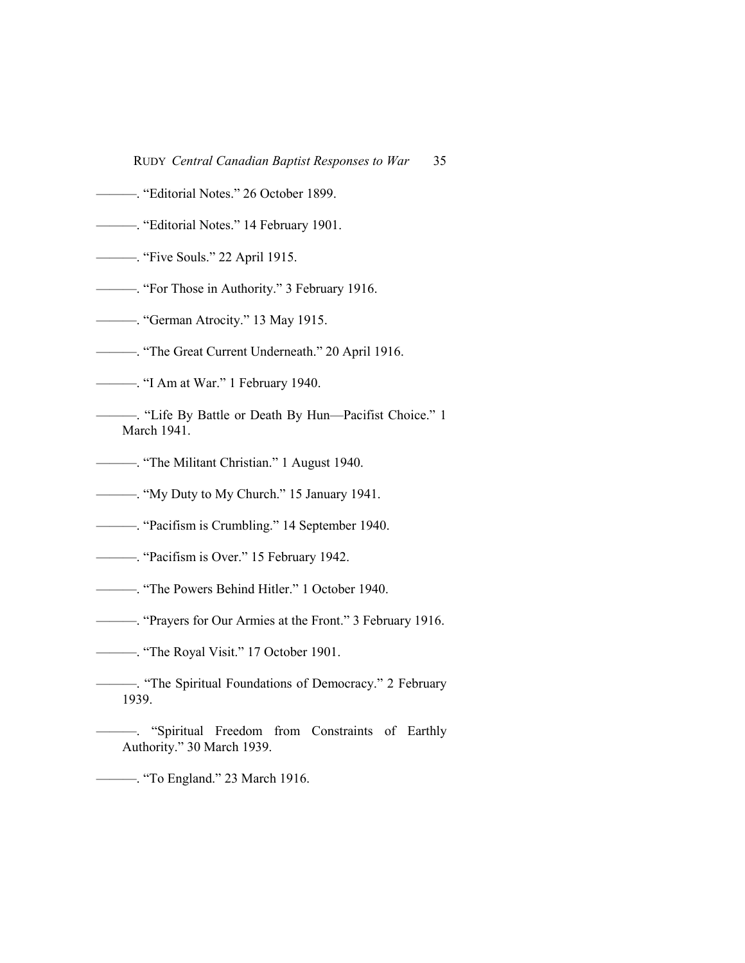RUDY *Central Canadian Baptist Responses to War* 35

- ———. "Editorial Notes." 26 October 1899.
- ———. "Editorial Notes." 14 February 1901.
- ———. "Five Souls." 22 April 1915.
- ———. "For Those in Authority." 3 February 1916.
- ———. "German Atrocity." 13 May 1915.
- ———. "The Great Current Underneath." 20 April 1916.
- ———. "I Am at War." 1 February 1940.
- ———. "Life By Battle or Death By Hun—Pacifist Choice." 1 March 1941.
- ———. "The Militant Christian." 1 August 1940.
- ———. "My Duty to My Church." 15 January 1941.
- ———. "Pacifism is Crumbling." 14 September 1940.
- ———. "Pacifism is Over." 15 February 1942.
- ———. "The Powers Behind Hitler." 1 October 1940.
- ———. "Prayers for Our Armies at the Front." 3 February 1916.
- ———. "The Royal Visit." 17 October 1901.
- ———. "The Spiritual Foundations of Democracy." 2 February 1939.
- ———. "Spiritual Freedom from Constraints of Earthly Authority." 30 March 1939.
- ———. "To England." 23 March 1916.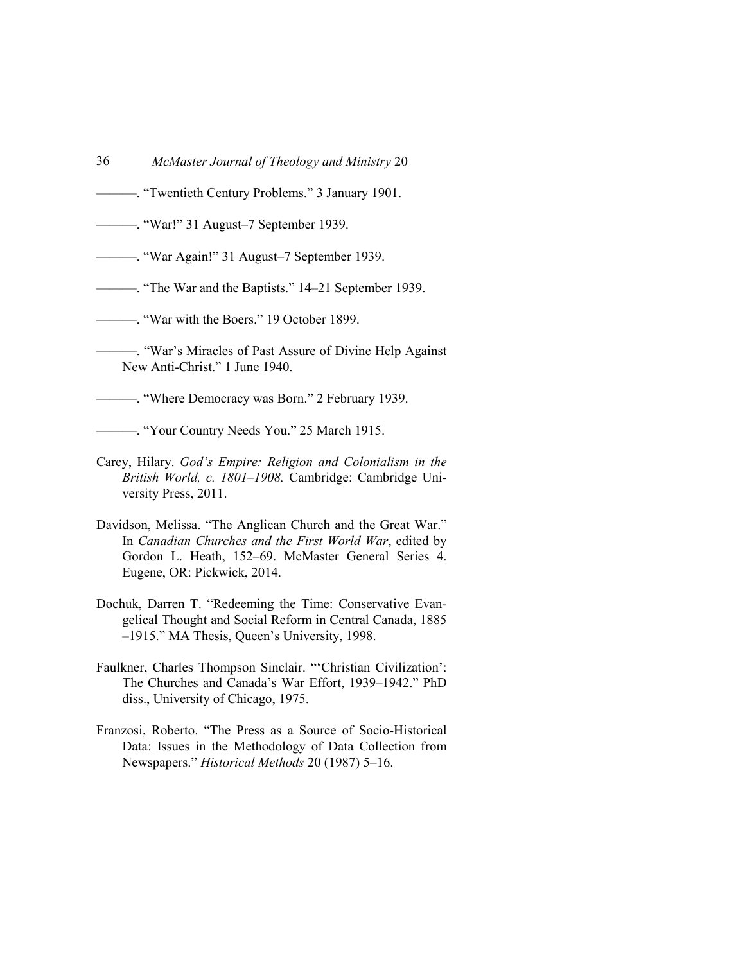- 36 *McMaster Journal of Theology and Ministry* 20
- ———. "Twentieth Century Problems." 3 January 1901.
- ———. "War!" 31 August–7 September 1939.
- ———. "War Again!" 31 August–7 September 1939.
- ———. "The War and the Baptists." 14–21 September 1939.
- ———. "War with the Boers." 19 October 1899.
- ———. "War's Miracles of Past Assure of Divine Help Against New Anti-Christ." 1 June 1940.

———. "Where Democracy was Born." 2 February 1939.

———. "Your Country Needs You." 25 March 1915.

- Carey, Hilary. *God's Empire: Religion and Colonialism in the British World, c. 1801–1908.* Cambridge: Cambridge University Press, 2011.
- Davidson, Melissa. "The Anglican Church and the Great War." In *Canadian Churches and the First World War*, edited by Gordon L. Heath, 152–69. McMaster General Series 4. Eugene, OR: Pickwick, 2014.
- Dochuk, Darren T. "Redeeming the Time: Conservative Evangelical Thought and Social Reform in Central Canada, 1885 –1915." MA Thesis, Queen's University, 1998.
- Faulkner, Charles Thompson Sinclair. "'Christian Civilization': The Churches and Canada's War Effort, 1939–1942." PhD diss., University of Chicago, 1975.
- Franzosi, Roberto. "The Press as a Source of Socio-Historical Data: Issues in the Methodology of Data Collection from Newspapers." *Historical Methods* 20 (1987) 5–16.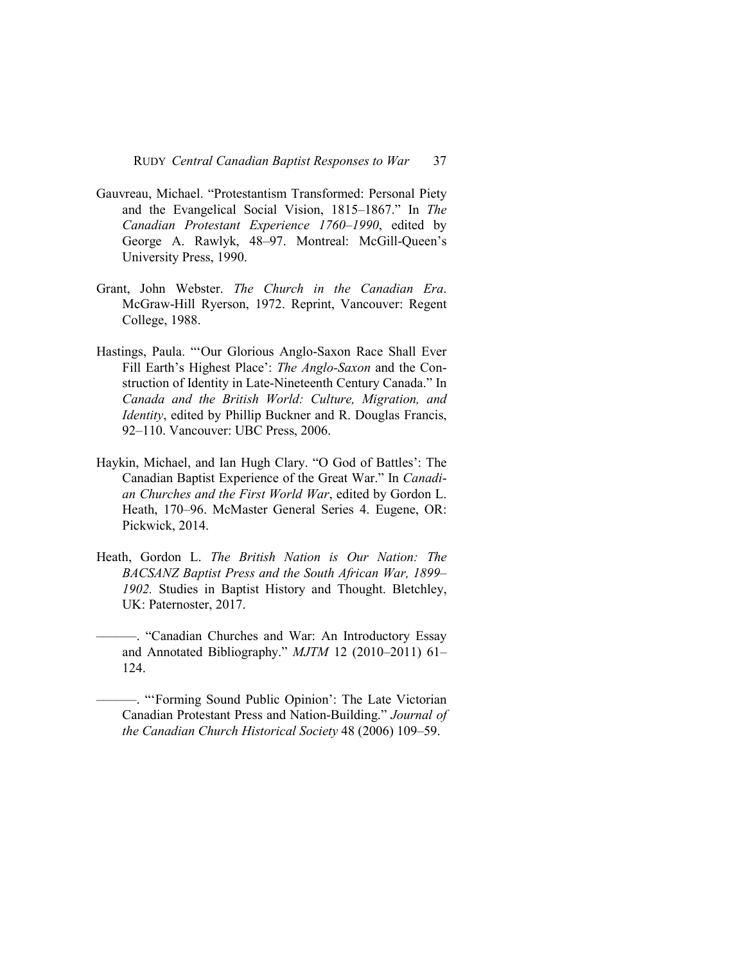- Gauvreau, Michael. "Protestantism Transformed: Personal Piety and the Evangelical Social Vision, 1815–1867." In *The Canadian Protestant Experience 1760–1990*, edited by George A. Rawlyk, 48–97. Montreal: McGill-Queen's University Press, 1990.
- Grant, John Webster. *The Church in the Canadian Era*. McGraw-Hill Ryerson, 1972. Reprint, Vancouver: Regent College, 1988.
- Hastings, Paula. "'Our Glorious Anglo-Saxon Race Shall Ever Fill Earth's Highest Place': *The Anglo-Saxon* and the Construction of Identity in Late-Nineteenth Century Canada." In *Canada and the British World: Culture, Migration, and Identity*, edited by Phillip Buckner and R. Douglas Francis, 92–110. Vancouver: UBC Press, 2006.
- Haykin, Michael, and Ian Hugh Clary. "O God of Battles': The Canadian Baptist Experience of the Great War." In *Canadian Churches and the First World War*, edited by Gordon L. Heath, 170–96. McMaster General Series 4. Eugene, OR: Pickwick, 2014.
- Heath, Gordon L. *The British Nation is Our Nation: The BACSANZ Baptist Press and the South African War, 1899– 1902.* Studies in Baptist History and Thought. Bletchley, UK: Paternoster, 2017.
- ––––––. "Canadian Churches and War: An Introductory Essay and Annotated Bibliography." *MJTM* 12 (2010–2011) 61– 124.
	- ––––––. "'Forming Sound Public Opinion': The Late Victorian Canadian Protestant Press and Nation-Building." *Journal of the Canadian Church Historical Society* 48 (2006) 109–59.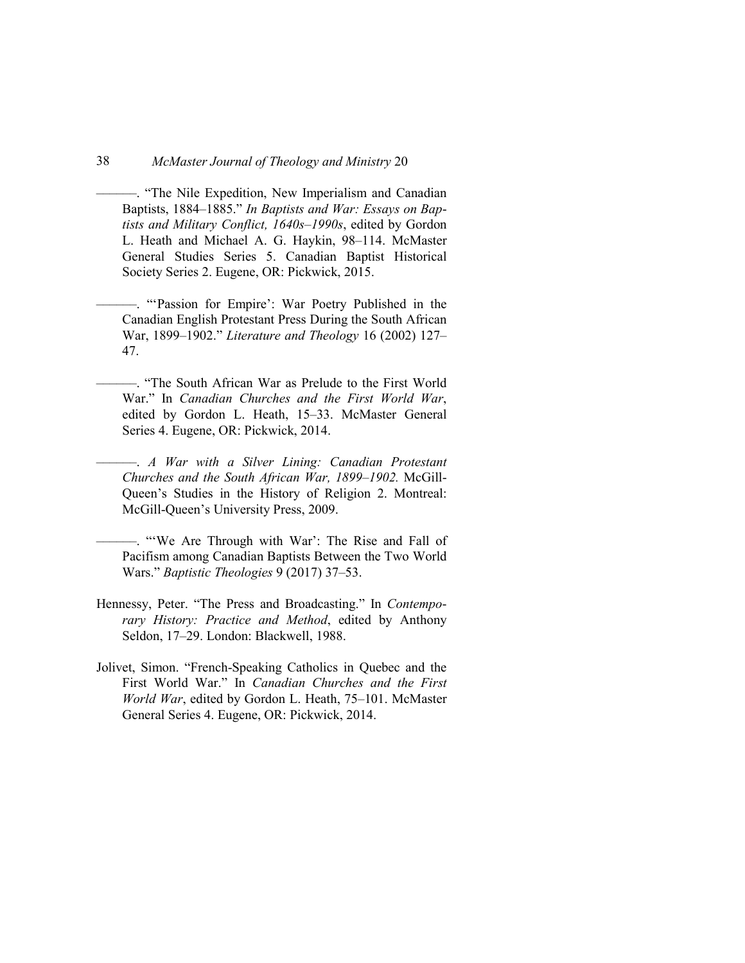- ––––––. "The Nile Expedition, New Imperialism and Canadian Baptists, 1884–1885." *In Baptists and War: Essays on Baptists and Military Conflict, 1640s–1990s*, edited by Gordon L. Heath and Michael A. G. Haykin, 98–114. McMaster General Studies Series 5. Canadian Baptist Historical Society Series 2. Eugene, OR: Pickwick, 2015.
- ––––––. "'Passion for Empire': War Poetry Published in the Canadian English Protestant Press During the South African War, 1899–1902." *Literature and Theology* 16 (2002) 127– 47.
- ––––––. "The South African War as Prelude to the First World War." In *Canadian Churches and the First World War*, edited by Gordon L. Heath, 15–33. McMaster General Series 4. Eugene, OR: Pickwick, 2014.
- ––––––. *A War with a Silver Lining: Canadian Protestant Churches and the South African War, 1899–1902.* McGill-Queen's Studies in the History of Religion 2. Montreal: McGill-Queen's University Press, 2009.
- ––––––. "'We Are Through with War': The Rise and Fall of Pacifism among Canadian Baptists Between the Two World Wars." *Baptistic Theologies* 9 (2017) 37–53.
- Hennessy, Peter. "The Press and Broadcasting." In *Contemporary History: Practice and Method*, edited by Anthony Seldon, 17–29. London: Blackwell, 1988.
- Jolivet, Simon. "French-Speaking Catholics in Quebec and the First World War." In *Canadian Churches and the First World War*, edited by Gordon L. Heath, 75–101. McMaster General Series 4. Eugene, OR: Pickwick, 2014.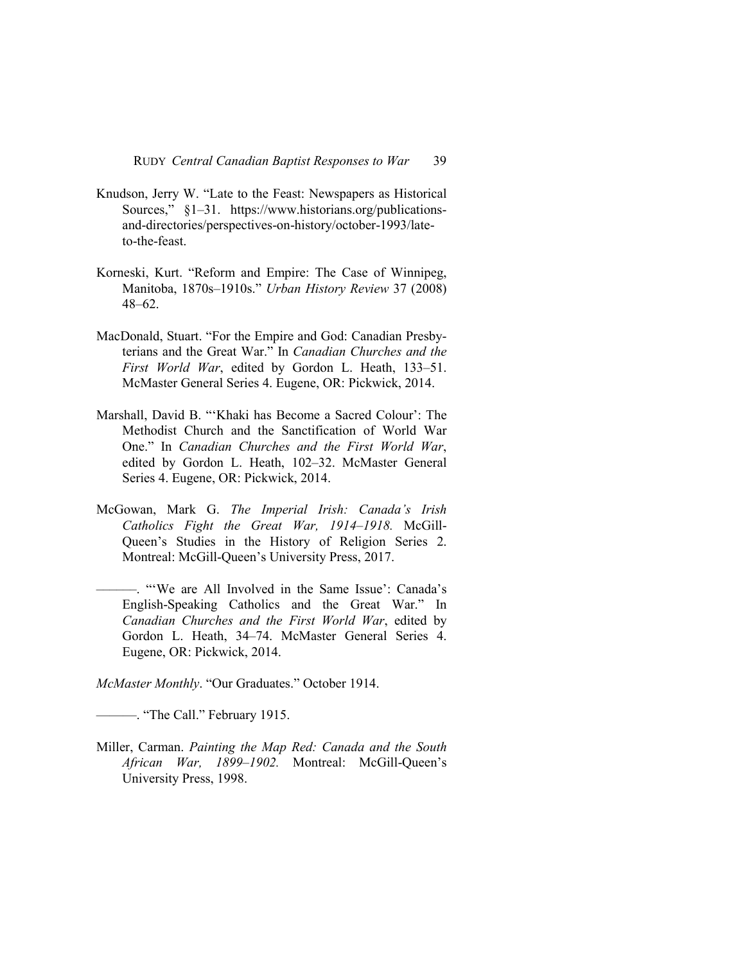- Knudson, Jerry W. "Late to the Feast: Newspapers as Historical Sources," §1–31. https://www.historians.org/publicationsand-directories/perspectives-on-history/october-1993/lateto-the-feast.
- Korneski, Kurt. "Reform and Empire: The Case of Winnipeg, Manitoba, 1870s–1910s." *Urban History Review* 37 (2008) 48–62.
- MacDonald, Stuart. "For the Empire and God: Canadian Presbyterians and the Great War." In *Canadian Churches and the First World War*, edited by Gordon L. Heath, 133–51. McMaster General Series 4. Eugene, OR: Pickwick, 2014.
- Marshall, David B. "'Khaki has Become a Sacred Colour': The Methodist Church and the Sanctification of World War One." In *Canadian Churches and the First World War*, edited by Gordon L. Heath, 102–32. McMaster General Series 4. Eugene, OR: Pickwick, 2014.
- McGowan, Mark G. *The Imperial Irish: Canada's Irish Catholics Fight the Great War, 1914–1918.* McGill-Queen's Studies in the History of Religion Series 2. Montreal: McGill-Queen's University Press, 2017.
	- ––––––. "'We are All Involved in the Same Issue': Canada's English-Speaking Catholics and the Great War." In *Canadian Churches and the First World War*, edited by Gordon L. Heath, 34–74. McMaster General Series 4. Eugene, OR: Pickwick, 2014.

*McMaster Monthly*. "Our Graduates." October 1914.

———. "The Call." February 1915.

Miller, Carman. *Painting the Map Red: Canada and the South African War, 1899–1902.* Montreal: McGill-Queen's University Press, 1998.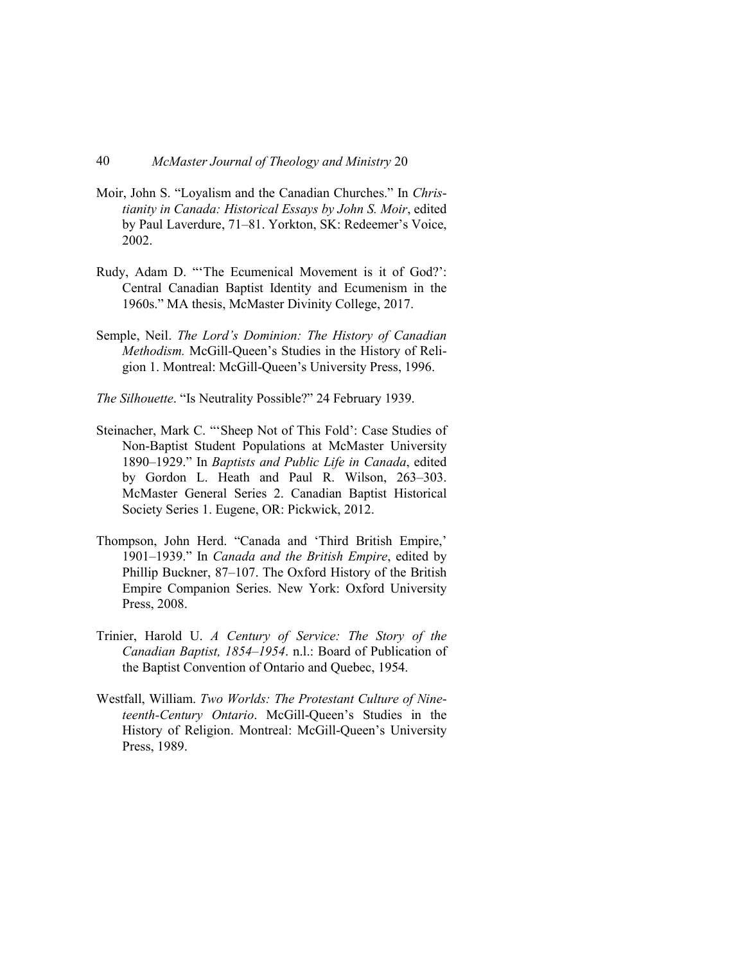- Moir, John S. "Loyalism and the Canadian Churches." In *Christianity in Canada: Historical Essays by John S. Moir*, edited by Paul Laverdure, 71–81. Yorkton, SK: Redeemer's Voice, 2002.
- Rudy, Adam D. "'The Ecumenical Movement is it of God?': Central Canadian Baptist Identity and Ecumenism in the 1960s." MA thesis, McMaster Divinity College, 2017.
- Semple, Neil. *The Lord's Dominion: The History of Canadian Methodism.* McGill-Queen's Studies in the History of Religion 1. Montreal: McGill-Queen's University Press, 1996.
- *The Silhouette*. "Is Neutrality Possible?" 24 February 1939.
- Steinacher, Mark C. "'Sheep Not of This Fold': Case Studies of Non-Baptist Student Populations at McMaster University 1890–1929." In *Baptists and Public Life in Canada*, edited by Gordon L. Heath and Paul R. Wilson, 263–303. McMaster General Series 2. Canadian Baptist Historical Society Series 1. Eugene, OR: Pickwick, 2012.
- Thompson, John Herd. "Canada and 'Third British Empire,' 1901–1939." In *Canada and the British Empire*, edited by Phillip Buckner, 87–107. The Oxford History of the British Empire Companion Series. New York: Oxford University Press, 2008.
- Trinier, Harold U. *A Century of Service: The Story of the Canadian Baptist, 1854–1954*. n.l.: Board of Publication of the Baptist Convention of Ontario and Quebec, 1954.
- Westfall, William. *Two Worlds: The Protestant Culture of Nineteenth-Century Ontario*. McGill-Queen's Studies in the History of Religion. Montreal: McGill-Queen's University Press, 1989.